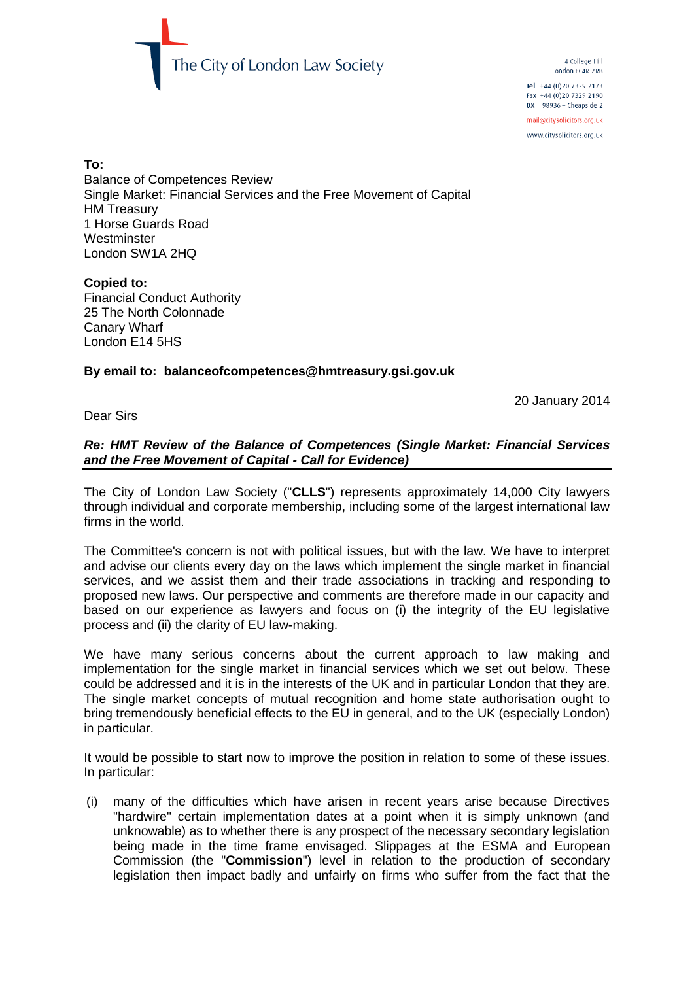

4 College Hill London EC4R 2RB Tel +44 (0)20 7329 2173 Fax +44 (0) 20 7329 2190  $DX$  98936 - Cheapside 2 mail@citysolicitors.org.uk

www.citysolicitors.org.uk

#### **To:**

Balance of Competences Review Single Market: Financial Services and the Free Movement of Capital HM Treasury 1 Horse Guards Road **Westminster** London SW1A 2HQ

## **Copied to:**

Financial Conduct Authority 25 The North Colonnade Canary Wharf London E14 5HS

## **By email to: balanceofcompetences@hmtreasury.gsi.gov.uk**

20 January 2014

## Dear Sirs

## *Re: HMT Review of the Balance of Competences (Single Market: Financial Services and the Free Movement of Capital - Call for Evidence)*

The City of London Law Society ("**CLLS**") represents approximately 14,000 City lawyers through individual and corporate membership, including some of the largest international law firms in the world.

The Committee's concern is not with political issues, but with the law. We have to interpret and advise our clients every day on the laws which implement the single market in financial services, and we assist them and their trade associations in tracking and responding to proposed new laws. Our perspective and comments are therefore made in our capacity and based on our experience as lawyers and focus on (i) the integrity of the EU legislative process and (ii) the clarity of EU law-making.

We have many serious concerns about the current approach to law making and implementation for the single market in financial services which we set out below. These could be addressed and it is in the interests of the UK and in particular London that they are. The single market concepts of mutual recognition and home state authorisation ought to bring tremendously beneficial effects to the EU in general, and to the UK (especially London) in particular.

It would be possible to start now to improve the position in relation to some of these issues. In particular:

(i) many of the difficulties which have arisen in recent years arise because Directives "hardwire" certain implementation dates at a point when it is simply unknown (and unknowable) as to whether there is any prospect of the necessary secondary legislation being made in the time frame envisaged. Slippages at the ESMA and European Commission (the "**Commission**") level in relation to the production of secondary legislation then impact badly and unfairly on firms who suffer from the fact that the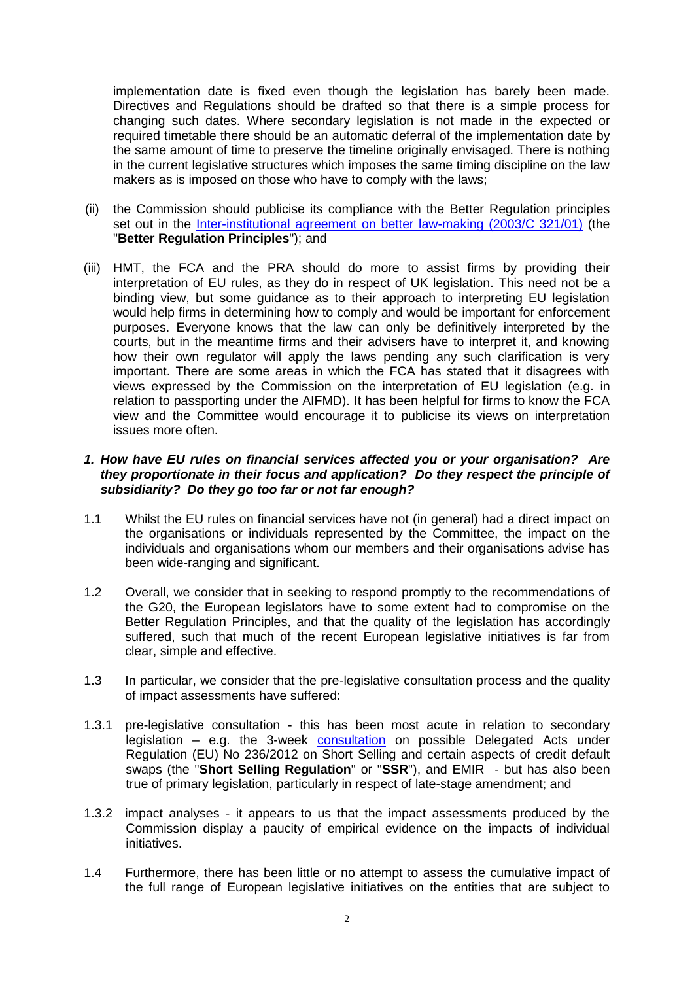implementation date is fixed even though the legislation has barely been made. Directives and Regulations should be drafted so that there is a simple process for changing such dates. Where secondary legislation is not made in the expected or required timetable there should be an automatic deferral of the implementation date by the same amount of time to preserve the timeline originally envisaged. There is nothing in the current legislative structures which imposes the same timing discipline on the law makers as is imposed on those who have to comply with the laws;

- (ii) the Commission should publicise its compliance with the Better Regulation principles set out in the [Inter-institutional agreement on better law-making \(2003/C 321/01\)](http://eur-lex.europa.eu/LexUriServ/LexUriServ.do?uri=CELEX:32003Q1231(01):EN:NOT) (the "**Better Regulation Principles**"); and
- (iii) HMT, the FCA and the PRA should do more to assist firms by providing their interpretation of EU rules, as they do in respect of UK legislation. This need not be a binding view, but some guidance as to their approach to interpreting EU legislation would help firms in determining how to comply and would be important for enforcement purposes. Everyone knows that the law can only be definitively interpreted by the courts, but in the meantime firms and their advisers have to interpret it, and knowing how their own regulator will apply the laws pending any such clarification is very important. There are some areas in which the FCA has stated that it disagrees with views expressed by the Commission on the interpretation of EU legislation (e.g. in relation to passporting under the AIFMD). It has been helpful for firms to know the FCA view and the Committee would encourage it to publicise its views on interpretation issues more often.

#### *1. How have EU rules on financial services affected you or your organisation? Are they proportionate in their focus and application? Do they respect the principle of subsidiarity? Do they go too far or not far enough?*

- 1.1 Whilst the EU rules on financial services have not (in general) had a direct impact on the organisations or individuals represented by the Committee, the impact on the individuals and organisations whom our members and their organisations advise has been wide-ranging and significant.
- <span id="page-1-0"></span>1.2 Overall, we consider that in seeking to respond promptly to the recommendations of the G20, the European legislators have to some extent had to compromise on the Better Regulation Principles, and that the quality of the legislation has accordingly suffered, such that much of the recent European legislative initiatives is far from clear, simple and effective.
- 1.3 In particular, we consider that the pre-legislative consultation process and the quality of impact assessments have suffered:
- 1.3.1 pre-legislative consultation this has been most acute in relation to secondary legislation – e.g. the 3-week [consultation](http://www.esma.europa.eu/system/files/2012-98.pdf) on possible Delegated Acts under [Regulation \(EU\) No 236/2012 on Short Selling and certain aspects of credit default](http://isda.informz.net/z/cjUucD9taT0yODg3NTY4JnA9MSZ1PTc1NjY0NDI1OSZsaT0xNTc2NTU0NQ/index.html)  [swaps](http://isda.informz.net/z/cjUucD9taT0yODg3NTY4JnA9MSZ1PTc1NjY0NDI1OSZsaT0xNTc2NTU0NQ/index.html) (the "**Short Selling Regulation**" or "**SSR**"), and EMIR - but has also been true of primary legislation, particularly in respect of late-stage amendment; and
- 1.3.2 impact analyses it appears to us that the impact assessments produced by the Commission display a paucity of empirical evidence on the impacts of individual initiatives.
- 1.4 Furthermore, there has been little or no attempt to assess the cumulative impact of the full range of European legislative initiatives on the entities that are subject to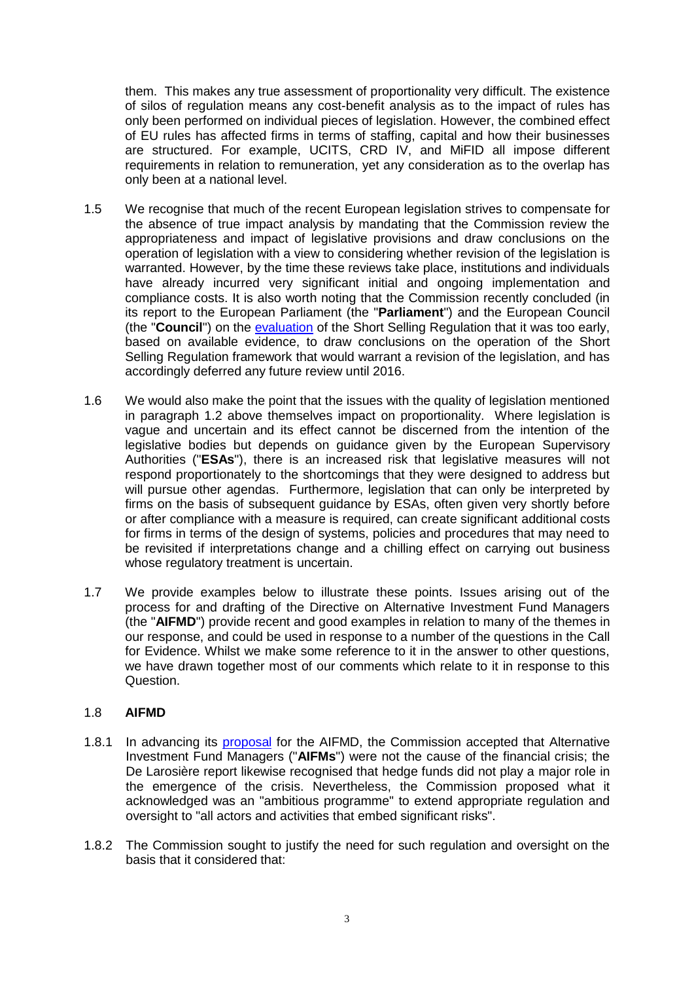them. This makes any true assessment of proportionality very difficult. The existence of silos of regulation means any cost-benefit analysis as to the impact of rules has only been performed on individual pieces of legislation. However, the combined effect of EU rules has affected firms in terms of staffing, capital and how their businesses are structured. For example, UCITS, CRD IV, and MiFID all impose different requirements in relation to remuneration, yet any consideration as to the overlap has only been at a national level.

- 1.5 We recognise that much of the recent European legislation strives to compensate for the absence of true impact analysis by mandating that the Commission review the appropriateness and impact of legislative provisions and draw conclusions on the operation of legislation with a view to considering whether revision of the legislation is warranted. However, by the time these reviews take place, institutions and individuals have already incurred very significant initial and ongoing implementation and compliance costs. It is also worth noting that the Commission recently concluded (in its report to the European Parliament (the "**Parliament**") and the European Council (the "**Council**") on the evaluation [of the Short Selling Regulation that it was too early,](http://isda.informz.net/z/cjUucD9taT0yODg3NTY4JnA9MSZ1PTc1NjY0NDI1OSZsaT0xNTc2NTU0NQ/index.html)  [based on available evidenc](http://isda.informz.net/z/cjUucD9taT0yODg3NTY4JnA9MSZ1PTc1NjY0NDI1OSZsaT0xNTc2NTU0NQ/index.html)e, to draw conclusions on the operation of the Short Selling Regulation framework that would warrant a revision of the legislation, and has accordingly deferred any future review until 2016.
- 1.6 We would also make the point that the issues with the quality of legislation mentioned in paragraph [1.2](#page-1-0) above themselves impact on proportionality. Where legislation is vague and uncertain and its effect cannot be discerned from the intention of the legislative bodies but depends on guidance given by the European Supervisory Authorities ("**ESAs**"), there is an increased risk that legislative measures will not respond proportionately to the shortcomings that they were designed to address but will pursue other agendas. Furthermore, legislation that can only be interpreted by firms on the basis of subsequent guidance by ESAs, often given very shortly before or after compliance with a measure is required, can create significant additional costs for firms in terms of the design of systems, policies and procedures that may need to be revisited if interpretations change and a chilling effect on carrying out business whose regulatory treatment is uncertain.
- 1.7 We provide examples below to illustrate these points. Issues arising out of the process for and drafting of the Directive on Alternative Investment Fund Managers (the "**AIFMD**") provide recent and good examples in relation to many of the themes in our response, and could be used in response to a number of the questions in the Call for Evidence. Whilst we make some reference to it in the answer to other questions, we have drawn together most of our comments which relate to it in response to this Question.

## 1.8 **AIFMD**

- 1.8.1 In advancing its [proposal](http://ec.europa.eu/internal_market/investment/docs/alternative_investments/fund_managers_proposal_en.pdf) for the AIFMD, the Commission accepted that Alternative Investment Fund Managers ("**AIFMs**") were not the cause of the financial crisis; the De Larosière report likewise recognised that hedge funds did not play a major role in the emergence of the crisis. Nevertheless, the Commission proposed what it acknowledged was an "ambitious programme" to extend appropriate regulation and oversight to "all actors and activities that embed significant risks".
- 1.8.2 The Commission sought to justify the need for such regulation and oversight on the basis that it considered that: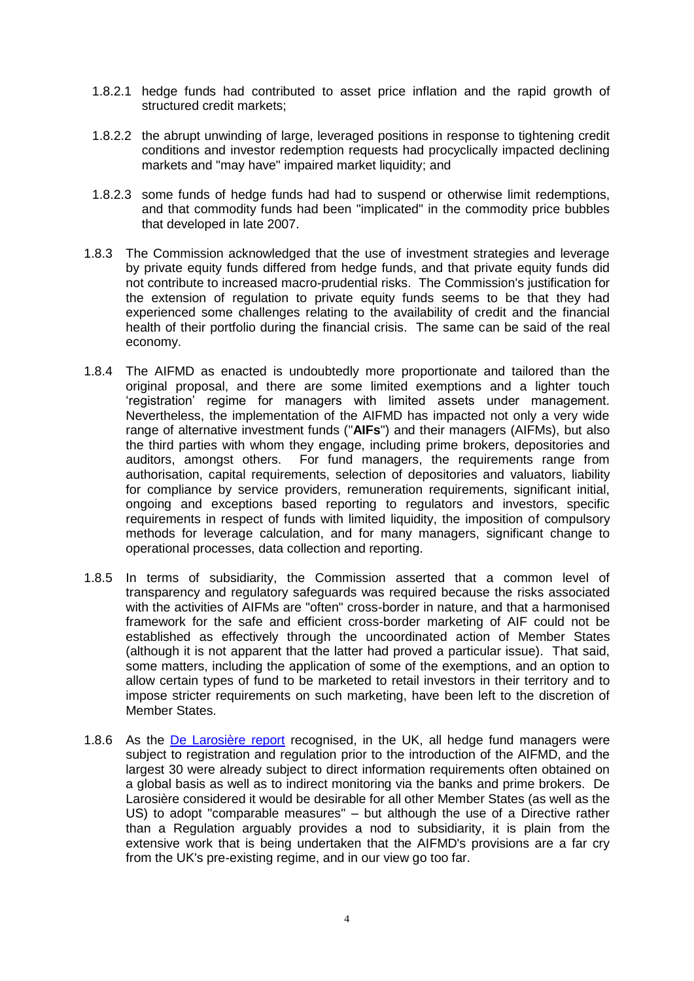- 1.8.2.1 hedge funds had contributed to asset price inflation and the rapid growth of structured credit markets;
- 1.8.2.2 the abrupt unwinding of large, leveraged positions in response to tightening credit conditions and investor redemption requests had procyclically impacted declining markets and "may have" impaired market liquidity; and
- 1.8.2.3 some funds of hedge funds had had to suspend or otherwise limit redemptions, and that commodity funds had been "implicated" in the commodity price bubbles that developed in late 2007.
- 1.8.3 The Commission acknowledged that the use of investment strategies and leverage by private equity funds differed from hedge funds, and that private equity funds did not contribute to increased macro-prudential risks. The Commission's justification for the extension of regulation to private equity funds seems to be that they had experienced some challenges relating to the availability of credit and the financial health of their portfolio during the financial crisis. The same can be said of the real economy.
- 1.8.4 The AIFMD as enacted is undoubtedly more proportionate and tailored than the original proposal, and there are some limited exemptions and a lighter touch 'registration' regime for managers with limited assets under management. Nevertheless, the implementation of the AIFMD has impacted not only a very wide range of alternative investment funds ("**AIFs**") and their managers (AIFMs), but also the third parties with whom they engage, including prime brokers, depositories and auditors, amongst others. For fund managers, the requirements range from authorisation, capital requirements, selection of depositories and valuators, liability for compliance by service providers, remuneration requirements, significant initial, ongoing and exceptions based reporting to regulators and investors, specific requirements in respect of funds with limited liquidity, the imposition of compulsory methods for leverage calculation, and for many managers, significant change to operational processes, data collection and reporting.
- 1.8.5 In terms of subsidiarity, the Commission asserted that a common level of transparency and regulatory safeguards was required because the risks associated with the activities of AIFMs are "often" cross-border in nature, and that a harmonised framework for the safe and efficient cross-border marketing of AIF could not be established as effectively through the uncoordinated action of Member States (although it is not apparent that the latter had proved a particular issue). That said, some matters, including the application of some of the exemptions, and an option to allow certain types of fund to be marketed to retail investors in their territory and to impose stricter requirements on such marketing, have been left to the discretion of Member States.
- 1.8.6 As the [De Larosière report](http://ec.europa.eu/internal_market/finances/docs/de_larosiere_report_en.pdf) recognised, in the UK, all hedge fund managers were subject to registration and regulation prior to the introduction of the AIFMD, and the largest 30 were already subject to direct information requirements often obtained on a global basis as well as to indirect monitoring via the banks and prime brokers. De Larosière considered it would be desirable for all other Member States (as well as the US) to adopt "comparable measures" – but although the use of a Directive rather than a Regulation arguably provides a nod to subsidiarity, it is plain from the extensive work that is being undertaken that the AIFMD's provisions are a far cry from the UK's pre-existing regime, and in our view go too far.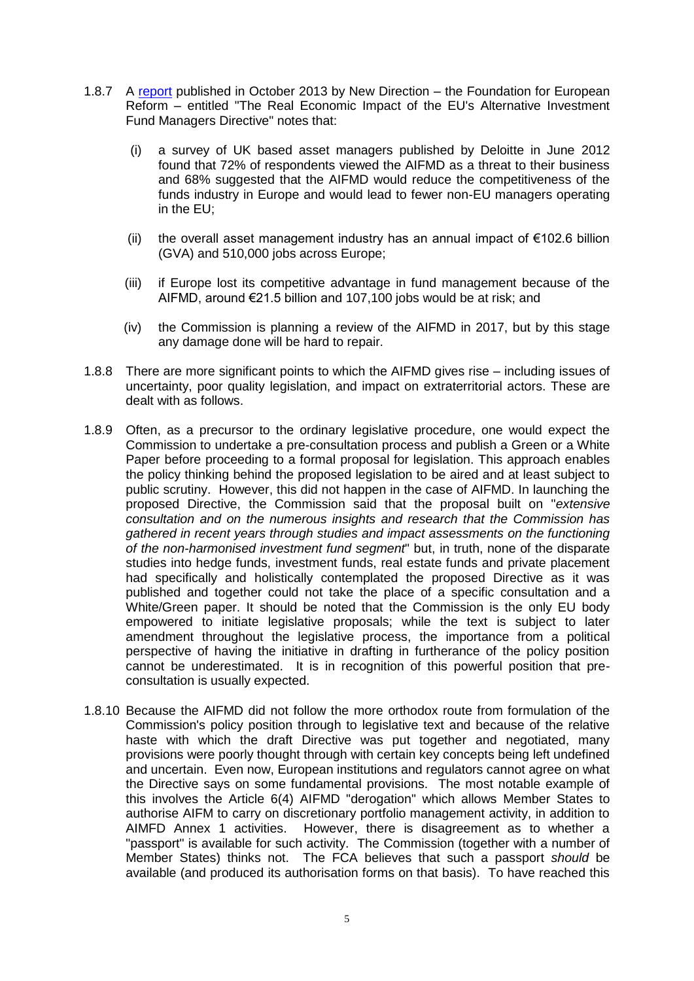- 1.8.7 A [report](http://www.newdirectionfoundation.org/AIFMD.pdf) published in October 2013 by New Direction the Foundation for European Reform – entitled "The Real Economic Impact of the EU's Alternative Investment Fund Managers Directive" notes that:
	- (i) a survey of UK based asset managers published by Deloitte in June 2012 found that 72% of respondents viewed the AIFMD as a threat to their business and 68% suggested that the AIFMD would reduce the competitiveness of the funds industry in Europe and would lead to fewer non-EU managers operating in the EU;
	- (ii) the overall asset management industry has an annual impact of €102.6 billion (GVA) and 510,000 jobs across Europe;
	- (iii) if Europe lost its competitive advantage in fund management because of the AIFMD, around €21.5 billion and 107,100 jobs would be at risk; and
	- (iv) the Commission is planning a review of the AIFMD in 2017, but by this stage any damage done will be hard to repair.
- 1.8.8 There are more significant points to which the AIFMD gives rise including issues of uncertainty, poor quality legislation, and impact on extraterritorial actors. These are dealt with as follows.
- 1.8.9 Often, as a precursor to the ordinary legislative procedure, one would expect the Commission to undertake a pre-consultation process and publish a Green or a White Paper before proceeding to a formal proposal for legislation. This approach enables the policy thinking behind the proposed legislation to be aired and at least subject to public scrutiny. However, this did not happen in the case of AIFMD. In launching the proposed Directive, the Commission said that the proposal built on "*extensive consultation and on the numerous insights and research that the Commission has gathered in recent years through studies and impact assessments on the functioning of the non-harmonised investment fund segment*" but, in truth, none of the disparate studies into hedge funds, investment funds, real estate funds and private placement had specifically and holistically contemplated the proposed Directive as it was published and together could not take the place of a specific consultation and a White/Green paper. It should be noted that the Commission is the only EU body empowered to initiate legislative proposals; while the text is subject to later amendment throughout the legislative process, the importance from a political perspective of having the initiative in drafting in furtherance of the policy position cannot be underestimated. It is in recognition of this powerful position that preconsultation is usually expected.
- 1.8.10 Because the AIFMD did not follow the more orthodox route from formulation of the Commission's policy position through to legislative text and because of the relative haste with which the draft Directive was put together and negotiated, many provisions were poorly thought through with certain key concepts being left undefined and uncertain. Even now, European institutions and regulators cannot agree on what the Directive says on some fundamental provisions. The most notable example of this involves the Article 6(4) AIFMD "derogation" which allows Member States to authorise AIFM to carry on discretionary portfolio management activity, in addition to AIMFD Annex 1 activities. However, there is disagreement as to whether a "passport" is available for such activity. The Commission (together with a number of Member States) thinks not. The FCA believes that such a passport *should* be available (and produced its authorisation forms on that basis). To have reached this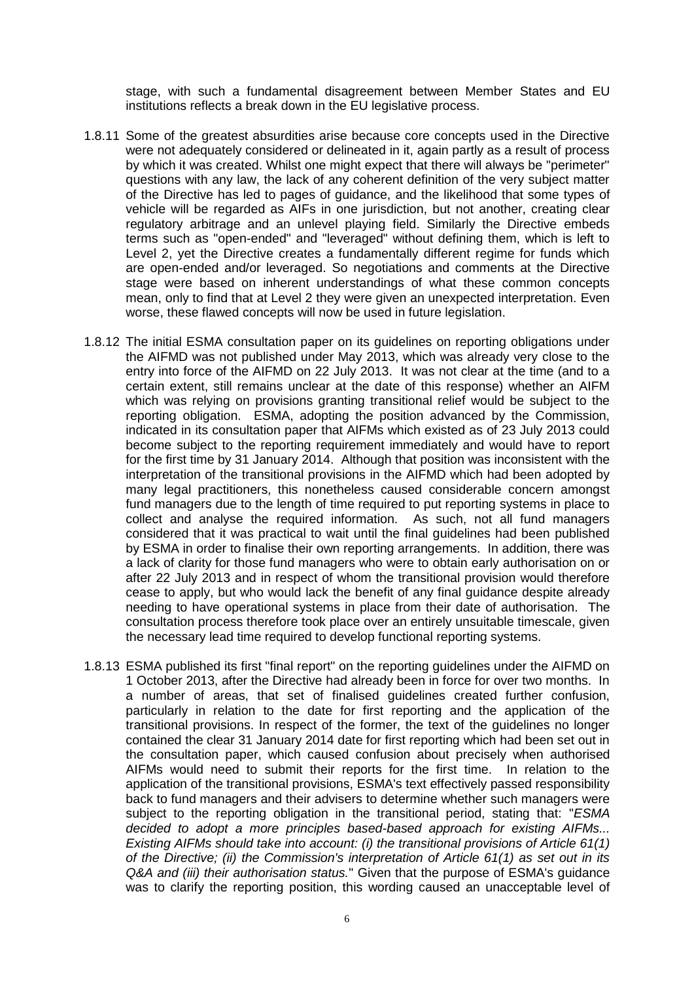stage, with such a fundamental disagreement between Member States and EU institutions reflects a break down in the EU legislative process.

- 1.8.11 Some of the greatest absurdities arise because core concepts used in the Directive were not adequately considered or delineated in it, again partly as a result of process by which it was created. Whilst one might expect that there will always be "perimeter" questions with any law, the lack of any coherent definition of the very subject matter of the Directive has led to pages of guidance, and the likelihood that some types of vehicle will be regarded as AIFs in one jurisdiction, but not another, creating clear regulatory arbitrage and an unlevel playing field. Similarly the Directive embeds terms such as "open-ended" and "leveraged" without defining them, which is left to Level 2, yet the Directive creates a fundamentally different regime for funds which are open-ended and/or leveraged. So negotiations and comments at the Directive stage were based on inherent understandings of what these common concepts mean, only to find that at Level 2 they were given an unexpected interpretation. Even worse, these flawed concepts will now be used in future legislation.
- <span id="page-5-0"></span>1.8.12 The initial ESMA consultation paper on its guidelines on reporting obligations under the AIFMD was not published under May 2013, which was already very close to the entry into force of the AIFMD on 22 July 2013. It was not clear at the time (and to a certain extent, still remains unclear at the date of this response) whether an AIFM which was relying on provisions granting transitional relief would be subject to the reporting obligation. ESMA, adopting the position advanced by the Commission, indicated in its consultation paper that AIFMs which existed as of 23 July 2013 could become subject to the reporting requirement immediately and would have to report for the first time by 31 January 2014. Although that position was inconsistent with the interpretation of the transitional provisions in the AIFMD which had been adopted by many legal practitioners, this nonetheless caused considerable concern amongst fund managers due to the length of time required to put reporting systems in place to collect and analyse the required information. As such, not all fund managers considered that it was practical to wait until the final guidelines had been published by ESMA in order to finalise their own reporting arrangements. In addition, there was a lack of clarity for those fund managers who were to obtain early authorisation on or after 22 July 2013 and in respect of whom the transitional provision would therefore cease to apply, but who would lack the benefit of any final guidance despite already needing to have operational systems in place from their date of authorisation. The consultation process therefore took place over an entirely unsuitable timescale, given the necessary lead time required to develop functional reporting systems.
- 1.8.13 ESMA published its first "final report" on the reporting guidelines under the AIFMD on 1 October 2013, after the Directive had already been in force for over two months. In a number of areas, that set of finalised guidelines created further confusion, particularly in relation to the date for first reporting and the application of the transitional provisions. In respect of the former, the text of the guidelines no longer contained the clear 31 January 2014 date for first reporting which had been set out in the consultation paper, which caused confusion about precisely when authorised AIFMs would need to submit their reports for the first time. In relation to the application of the transitional provisions, ESMA's text effectively passed responsibility back to fund managers and their advisers to determine whether such managers were subject to the reporting obligation in the transitional period, stating that: "*ESMA decided to adopt a more principles based-based approach for existing AIFMs... Existing AIFMs should take into account: (i) the transitional provisions of Article 61(1) of the Directive; (ii) the Commission's interpretation of Article 61(1) as set out in its Q&A and (iii) their authorisation status.*" Given that the purpose of ESMA's guidance was to clarify the reporting position, this wording caused an unacceptable level of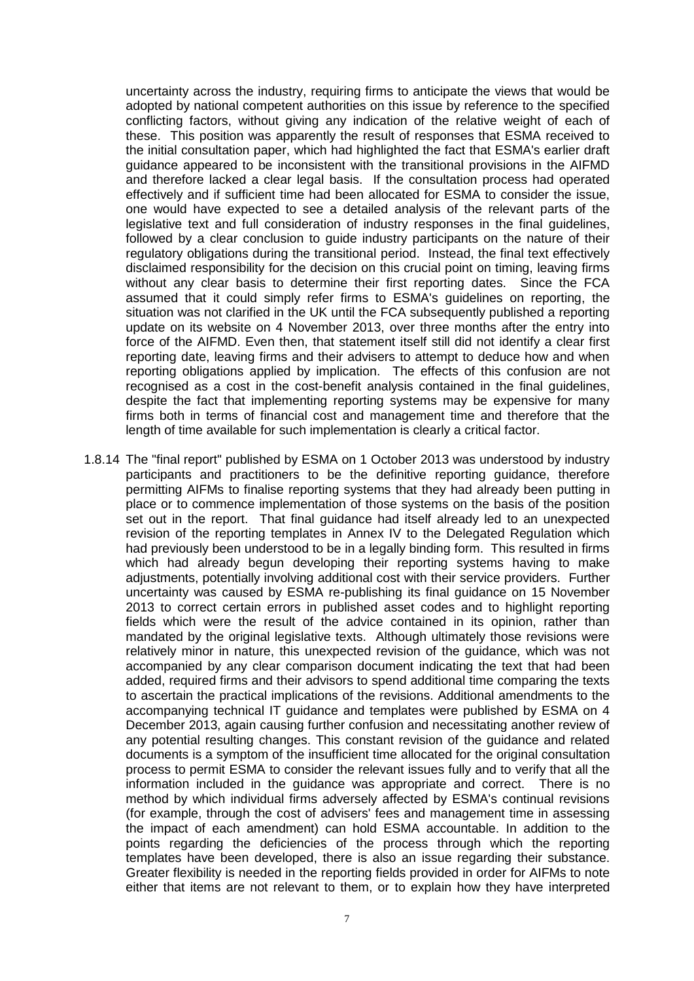uncertainty across the industry, requiring firms to anticipate the views that would be adopted by national competent authorities on this issue by reference to the specified conflicting factors, without giving any indication of the relative weight of each of these. This position was apparently the result of responses that ESMA received to the initial consultation paper, which had highlighted the fact that ESMA's earlier draft guidance appeared to be inconsistent with the transitional provisions in the AIFMD and therefore lacked a clear legal basis. If the consultation process had operated effectively and if sufficient time had been allocated for ESMA to consider the issue, one would have expected to see a detailed analysis of the relevant parts of the legislative text and full consideration of industry responses in the final guidelines, followed by a clear conclusion to guide industry participants on the nature of their regulatory obligations during the transitional period. Instead, the final text effectively disclaimed responsibility for the decision on this crucial point on timing, leaving firms without any clear basis to determine their first reporting dates. Since the FCA assumed that it could simply refer firms to ESMA's guidelines on reporting, the situation was not clarified in the UK until the FCA subsequently published a reporting update on its website on 4 November 2013, over three months after the entry into force of the AIFMD. Even then, that statement itself still did not identify a clear first reporting date, leaving firms and their advisers to attempt to deduce how and when reporting obligations applied by implication. The effects of this confusion are not recognised as a cost in the cost-benefit analysis contained in the final guidelines, despite the fact that implementing reporting systems may be expensive for many firms both in terms of financial cost and management time and therefore that the length of time available for such implementation is clearly a critical factor.

1.8.14 The "final report" published by ESMA on 1 October 2013 was understood by industry participants and practitioners to be the definitive reporting guidance, therefore permitting AIFMs to finalise reporting systems that they had already been putting in place or to commence implementation of those systems on the basis of the position set out in the report. That final guidance had itself already led to an unexpected revision of the reporting templates in Annex IV to the Delegated Regulation which had previously been understood to be in a legally binding form. This resulted in firms which had already begun developing their reporting systems having to make adjustments, potentially involving additional cost with their service providers. Further uncertainty was caused by ESMA re-publishing its final guidance on 15 November 2013 to correct certain errors in published asset codes and to highlight reporting fields which were the result of the advice contained in its opinion, rather than mandated by the original legislative texts. Although ultimately those revisions were relatively minor in nature, this unexpected revision of the guidance, which was not accompanied by any clear comparison document indicating the text that had been added, required firms and their advisors to spend additional time comparing the texts to ascertain the practical implications of the revisions. Additional amendments to the accompanying technical IT guidance and templates were published by ESMA on 4 December 2013, again causing further confusion and necessitating another review of any potential resulting changes. This constant revision of the guidance and related documents is a symptom of the insufficient time allocated for the original consultation process to permit ESMA to consider the relevant issues fully and to verify that all the information included in the guidance was appropriate and correct. There is no method by which individual firms adversely affected by ESMA's continual revisions (for example, through the cost of advisers' fees and management time in assessing the impact of each amendment) can hold ESMA accountable. In addition to the points regarding the deficiencies of the process through which the reporting templates have been developed, there is also an issue regarding their substance. Greater flexibility is needed in the reporting fields provided in order for AIFMs to note either that items are not relevant to them, or to explain how they have interpreted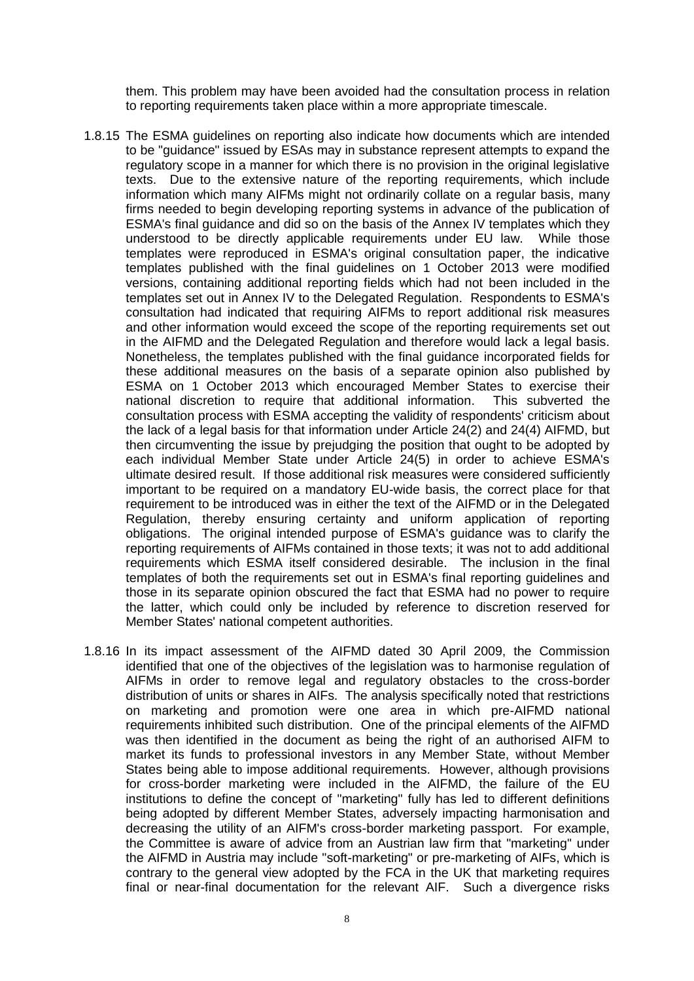them. This problem may have been avoided had the consultation process in relation to reporting requirements taken place within a more appropriate timescale.

- 1.8.15 The ESMA guidelines on reporting also indicate how documents which are intended to be "guidance" issued by ESAs may in substance represent attempts to expand the regulatory scope in a manner for which there is no provision in the original legislative texts. Due to the extensive nature of the reporting requirements, which include information which many AIFMs might not ordinarily collate on a regular basis, many firms needed to begin developing reporting systems in advance of the publication of ESMA's final guidance and did so on the basis of the Annex IV templates which they understood to be directly applicable requirements under EU law. While those templates were reproduced in ESMA's original consultation paper, the indicative templates published with the final guidelines on 1 October 2013 were modified versions, containing additional reporting fields which had not been included in the templates set out in Annex IV to the Delegated Regulation. Respondents to ESMA's consultation had indicated that requiring AIFMs to report additional risk measures and other information would exceed the scope of the reporting requirements set out in the AIFMD and the Delegated Regulation and therefore would lack a legal basis. Nonetheless, the templates published with the final guidance incorporated fields for these additional measures on the basis of a separate opinion also published by ESMA on 1 October 2013 which encouraged Member States to exercise their national discretion to require that additional information. This subverted the consultation process with ESMA accepting the validity of respondents' criticism about the lack of a legal basis for that information under Article 24(2) and 24(4) AIFMD, but then circumventing the issue by prejudging the position that ought to be adopted by each individual Member State under Article 24(5) in order to achieve ESMA's ultimate desired result. If those additional risk measures were considered sufficiently important to be required on a mandatory EU-wide basis, the correct place for that requirement to be introduced was in either the text of the AIFMD or in the Delegated Regulation, thereby ensuring certainty and uniform application of reporting obligations. The original intended purpose of ESMA's guidance was to clarify the reporting requirements of AIFMs contained in those texts; it was not to add additional requirements which ESMA itself considered desirable. The inclusion in the final templates of both the requirements set out in ESMA's final reporting guidelines and those in its separate opinion obscured the fact that ESMA had no power to require the latter, which could only be included by reference to discretion reserved for Member States' national competent authorities.
- 1.8.16 In its impact assessment of the AIFMD dated 30 April 2009, the Commission identified that one of the objectives of the legislation was to harmonise regulation of AIFMs in order to remove legal and regulatory obstacles to the cross-border distribution of units or shares in AIFs. The analysis specifically noted that restrictions on marketing and promotion were one area in which pre-AIFMD national requirements inhibited such distribution. One of the principal elements of the AIFMD was then identified in the document as being the right of an authorised AIFM to market its funds to professional investors in any Member State, without Member States being able to impose additional requirements. However, although provisions for cross-border marketing were included in the AIFMD, the failure of the EU institutions to define the concept of "marketing" fully has led to different definitions being adopted by different Member States, adversely impacting harmonisation and decreasing the utility of an AIFM's cross-border marketing passport. For example, the Committee is aware of advice from an Austrian law firm that "marketing" under the AIFMD in Austria may include "soft-marketing" or pre-marketing of AIFs, which is contrary to the general view adopted by the FCA in the UK that marketing requires final or near-final documentation for the relevant AIF. Such a divergence risks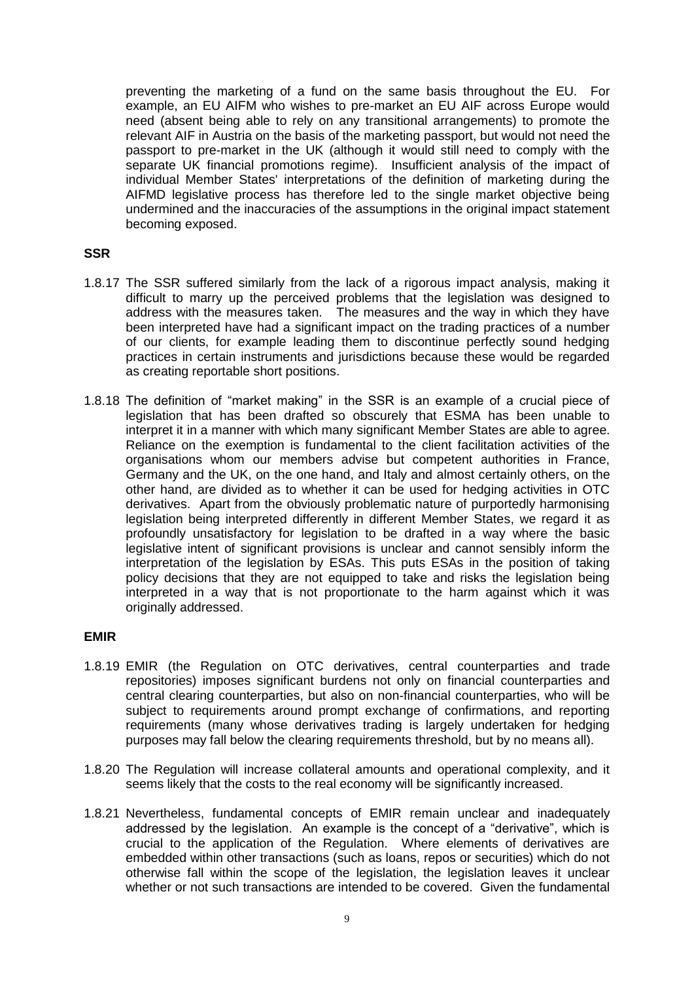preventing the marketing of a fund on the same basis throughout the EU. For example, an EU AIFM who wishes to pre-market an EU AIF across Europe would need (absent being able to rely on any transitional arrangements) to promote the relevant AIF in Austria on the basis of the marketing passport, but would not need the passport to pre-market in the UK (although it would still need to comply with the separate UK financial promotions regime). Insufficient analysis of the impact of individual Member States' interpretations of the definition of marketing during the AIFMD legislative process has therefore led to the single market objective being undermined and the inaccuracies of the assumptions in the original impact statement becoming exposed.

## **SSR**

- 1.8.17 The SSR suffered similarly from the lack of a rigorous impact analysis, making it difficult to marry up the perceived problems that the legislation was designed to address with the measures taken. The measures and the way in which they have been interpreted have had a significant impact on the trading practices of a number of our clients, for example leading them to discontinue perfectly sound hedging practices in certain instruments and jurisdictions because these would be regarded as creating reportable short positions.
- 1.8.18 The definition of "market making" in the SSR is an example of a crucial piece of legislation that has been drafted so obscurely that ESMA has been unable to interpret it in a manner with which many significant Member States are able to agree. Reliance on the exemption is fundamental to the client facilitation activities of the organisations whom our members advise but competent authorities in France, Germany and the UK, on the one hand, and Italy and almost certainly others, on the other hand, are divided as to whether it can be used for hedging activities in OTC derivatives. Apart from the obviously problematic nature of purportedly harmonising legislation being interpreted differently in different Member States, we regard it as profoundly unsatisfactory for legislation to be drafted in a way where the basic legislative intent of significant provisions is unclear and cannot sensibly inform the interpretation of the legislation by ESAs. This puts ESAs in the position of taking policy decisions that they are not equipped to take and risks the legislation being interpreted in a way that is not proportionate to the harm against which it was originally addressed.

#### **EMIR**

- 1.8.19 EMIR (the Regulation on OTC derivatives, central counterparties and trade repositories) imposes significant burdens not only on financial counterparties and central clearing counterparties, but also on non-financial counterparties, who will be subject to requirements around prompt exchange of confirmations, and reporting requirements (many whose derivatives trading is largely undertaken for hedging purposes may fall below the clearing requirements threshold, but by no means all).
- 1.8.20 The Regulation will increase collateral amounts and operational complexity, and it seems likely that the costs to the real economy will be significantly increased.
- 1.8.21 Nevertheless, fundamental concepts of EMIR remain unclear and inadequately addressed by the legislation. An example is the concept of a "derivative", which is crucial to the application of the Regulation. Where elements of derivatives are embedded within other transactions (such as loans, repos or securities) which do not otherwise fall within the scope of the legislation, the legislation leaves it unclear whether or not such transactions are intended to be covered. Given the fundamental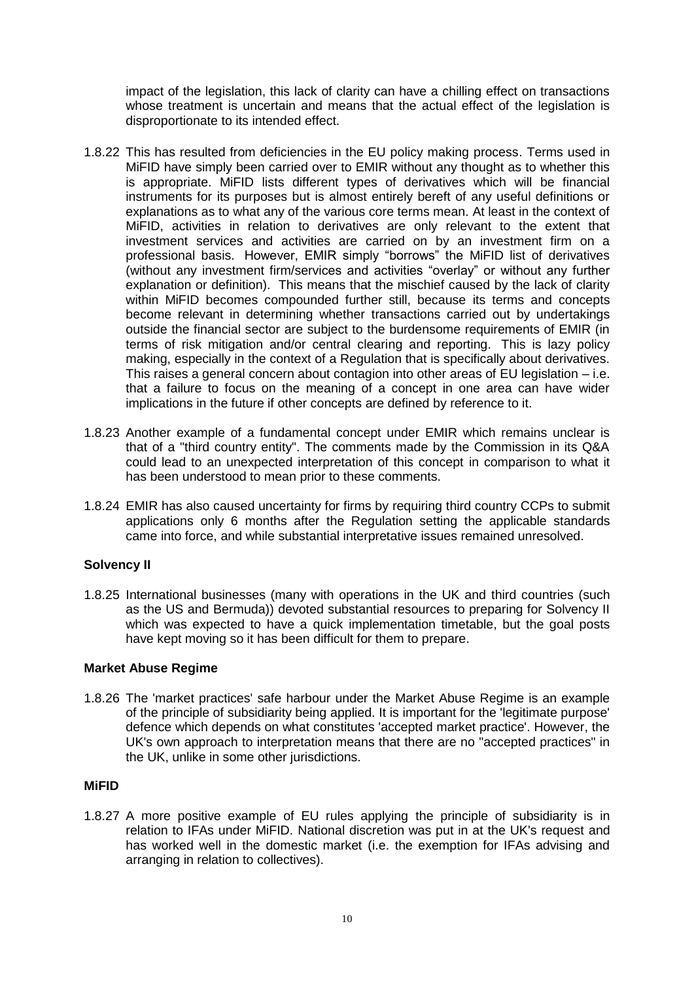impact of the legislation, this lack of clarity can have a chilling effect on transactions whose treatment is uncertain and means that the actual effect of the legislation is disproportionate to its intended effect.

- 1.8.22 This has resulted from deficiencies in the EU policy making process. Terms used in MiFID have simply been carried over to EMIR without any thought as to whether this is appropriate. MiFID lists different types of derivatives which will be financial instruments for its purposes but is almost entirely bereft of any useful definitions or explanations as to what any of the various core terms mean. At least in the context of MiFID, activities in relation to derivatives are only relevant to the extent that investment services and activities are carried on by an investment firm on a professional basis. However, EMIR simply "borrows" the MiFID list of derivatives (without any investment firm/services and activities "overlay" or without any further explanation or definition). This means that the mischief caused by the lack of clarity within MiFID becomes compounded further still, because its terms and concepts become relevant in determining whether transactions carried out by undertakings outside the financial sector are subject to the burdensome requirements of EMIR (in terms of risk mitigation and/or central clearing and reporting. This is lazy policy making, especially in the context of a Regulation that is specifically about derivatives. This raises a general concern about contagion into other areas of EU legislation – i.e. that a failure to focus on the meaning of a concept in one area can have wider implications in the future if other concepts are defined by reference to it.
- 1.8.23 Another example of a fundamental concept under EMIR which remains unclear is that of a "third country entity". The comments made by the Commission in its Q&A could lead to an unexpected interpretation of this concept in comparison to what it has been understood to mean prior to these comments.
- 1.8.24 EMIR has also caused uncertainty for firms by requiring third country CCPs to submit applications only 6 months after the Regulation setting the applicable standards came into force, and while substantial interpretative issues remained unresolved.

## **Solvency II**

1.8.25 International businesses (many with operations in the UK and third countries (such as the US and Bermuda)) devoted substantial resources to preparing for Solvency II which was expected to have a quick implementation timetable, but the goal posts have kept moving so it has been difficult for them to prepare.

## **Market Abuse Regime**

1.8.26 The 'market practices' safe harbour under the Market Abuse Regime is an example of the principle of subsidiarity being applied. It is important for the 'legitimate purpose' defence which depends on what constitutes 'accepted market practice'. However, the UK's own approach to interpretation means that there are no "accepted practices" in the UK, unlike in some other jurisdictions.

## **MiFID**

1.8.27 A more positive example of EU rules applying the principle of subsidiarity is in relation to IFAs under MiFID. National discretion was put in at the UK's request and has worked well in the domestic market (i.e. the exemption for IFAs advising and arranging in relation to collectives).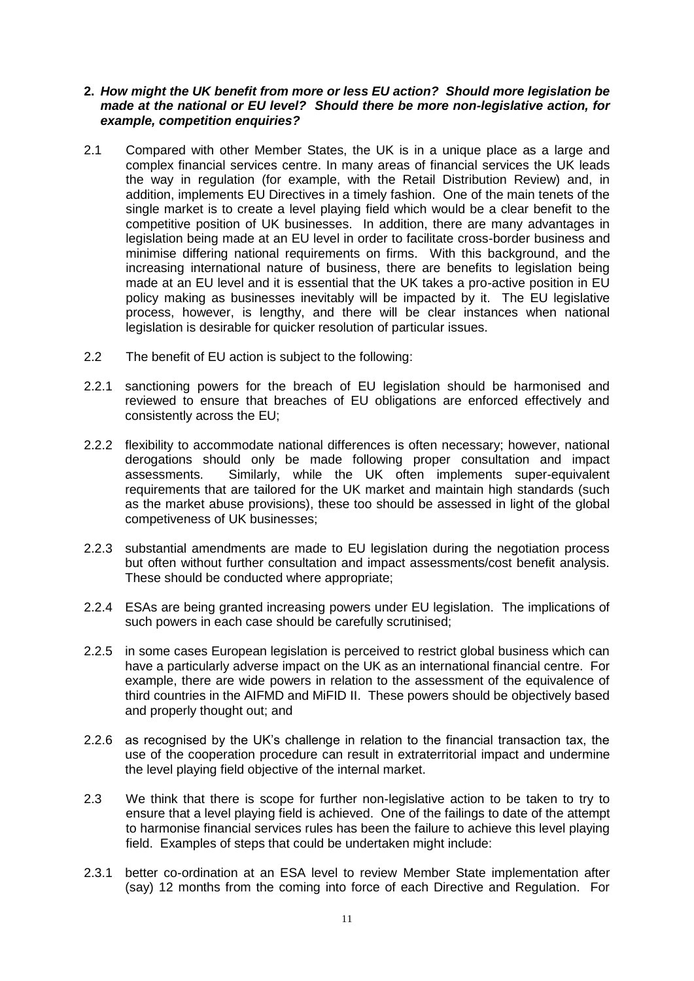#### **2.** *How might the UK benefit from more or less EU action? Should more legislation be made at the national or EU level? Should there be more non-legislative action, for example, competition enquiries?*

- <span id="page-10-0"></span>2.1 Compared with other Member States, the UK is in a unique place as a large and complex financial services centre. In many areas of financial services the UK leads the way in regulation (for example, with the Retail Distribution Review) and, in addition, implements EU Directives in a timely fashion. One of the main tenets of the single market is to create a level playing field which would be a clear benefit to the competitive position of UK businesses. In addition, there are many advantages in legislation being made at an EU level in order to facilitate cross-border business and minimise differing national requirements on firms. With this background, and the increasing international nature of business, there are benefits to legislation being made at an EU level and it is essential that the UK takes a pro-active position in EU policy making as businesses inevitably will be impacted by it. The EU legislative process, however, is lengthy, and there will be clear instances when national legislation is desirable for quicker resolution of particular issues.
- 2.2 The benefit of EU action is subject to the following:
- 2.2.1 sanctioning powers for the breach of EU legislation should be harmonised and reviewed to ensure that breaches of EU obligations are enforced effectively and consistently across the EU;
- 2.2.2 flexibility to accommodate national differences is often necessary; however, national derogations should only be made following proper consultation and impact assessments. Similarly, while the UK often implements super-equivalent requirements that are tailored for the UK market and maintain high standards (such as the market abuse provisions), these too should be assessed in light of the global competiveness of UK businesses;
- 2.2.3 substantial amendments are made to EU legislation during the negotiation process but often without further consultation and impact assessments/cost benefit analysis. These should be conducted where appropriate;
- 2.2.4 ESAs are being granted increasing powers under EU legislation. The implications of such powers in each case should be carefully scrutinised;
- 2.2.5 in some cases European legislation is perceived to restrict global business which can have a particularly adverse impact on the UK as an international financial centre. For example, there are wide powers in relation to the assessment of the equivalence of third countries in the AIFMD and MiFID II. These powers should be objectively based and properly thought out; and
- 2.2.6 as recognised by the UK's challenge in relation to the financial transaction tax, the use of the cooperation procedure can result in extraterritorial impact and undermine the level playing field objective of the internal market.
- 2.3 We think that there is scope for further non-legislative action to be taken to try to ensure that a level playing field is achieved. One of the failings to date of the attempt to harmonise financial services rules has been the failure to achieve this level playing field. Examples of steps that could be undertaken might include:
- 2.3.1 better co-ordination at an ESA level to review Member State implementation after (say) 12 months from the coming into force of each Directive and Regulation. For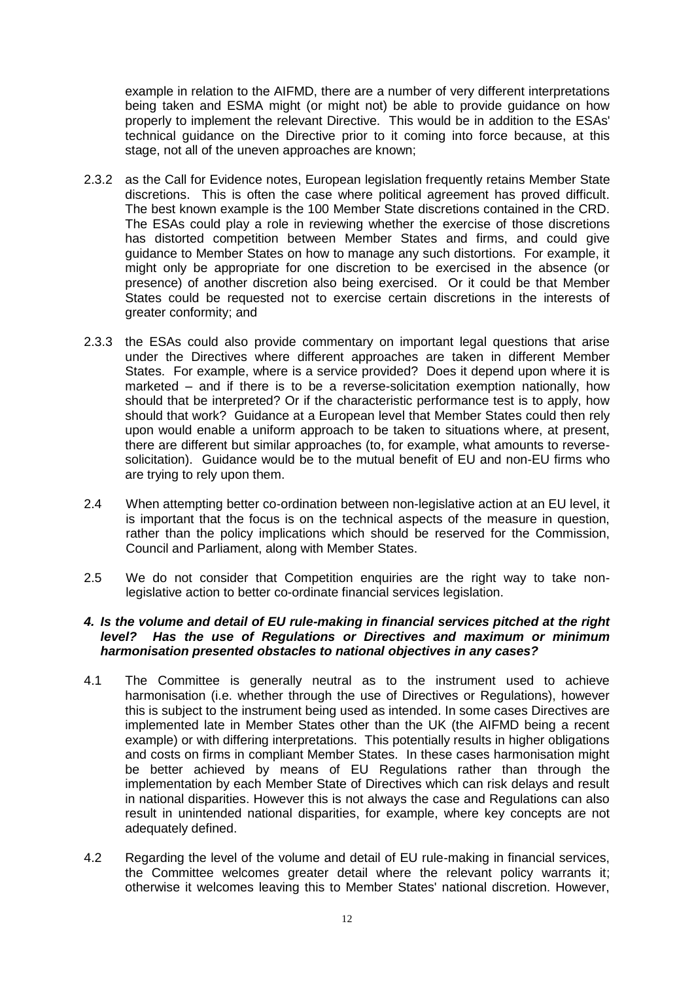example in relation to the AIFMD, there are a number of very different interpretations being taken and ESMA might (or might not) be able to provide guidance on how properly to implement the relevant Directive. This would be in addition to the ESAs' technical guidance on the Directive prior to it coming into force because, at this stage, not all of the uneven approaches are known;

- 2.3.2 as the Call for Evidence notes, European legislation frequently retains Member State discretions. This is often the case where political agreement has proved difficult. The best known example is the 100 Member State discretions contained in the CRD. The ESAs could play a role in reviewing whether the exercise of those discretions has distorted competition between Member States and firms, and could give guidance to Member States on how to manage any such distortions. For example, it might only be appropriate for one discretion to be exercised in the absence (or presence) of another discretion also being exercised. Or it could be that Member States could be requested not to exercise certain discretions in the interests of greater conformity; and
- 2.3.3 the ESAs could also provide commentary on important legal questions that arise under the Directives where different approaches are taken in different Member States. For example, where is a service provided? Does it depend upon where it is marketed – and if there is to be a reverse-solicitation exemption nationally, how should that be interpreted? Or if the characteristic performance test is to apply, how should that work? Guidance at a European level that Member States could then rely upon would enable a uniform approach to be taken to situations where, at present, there are different but similar approaches (to, for example, what amounts to reversesolicitation). Guidance would be to the mutual benefit of EU and non-EU firms who are trying to rely upon them.
- 2.4 When attempting better co-ordination between non-legislative action at an EU level, it is important that the focus is on the technical aspects of the measure in question, rather than the policy implications which should be reserved for the Commission, Council and Parliament, along with Member States.
- 2.5 We do not consider that Competition enquiries are the right way to take nonlegislative action to better co-ordinate financial services legislation.

#### *4. Is the volume and detail of EU rule-making in financial services pitched at the right level? Has the use of Regulations or Directives and maximum or minimum harmonisation presented obstacles to national objectives in any cases?*

- 4.1 The Committee is generally neutral as to the instrument used to achieve harmonisation (i.e. whether through the use of Directives or Regulations), however this is subject to the instrument being used as intended. In some cases Directives are implemented late in Member States other than the UK (the AIFMD being a recent example) or with differing interpretations. This potentially results in higher obligations and costs on firms in compliant Member States. In these cases harmonisation might be better achieved by means of EU Regulations rather than through the implementation by each Member State of Directives which can risk delays and result in national disparities. However this is not always the case and Regulations can also result in unintended national disparities, for example, where key concepts are not adequately defined.
- 4.2 Regarding the level of the volume and detail of EU rule-making in financial services, the Committee welcomes greater detail where the relevant policy warrants it; otherwise it welcomes leaving this to Member States' national discretion. However,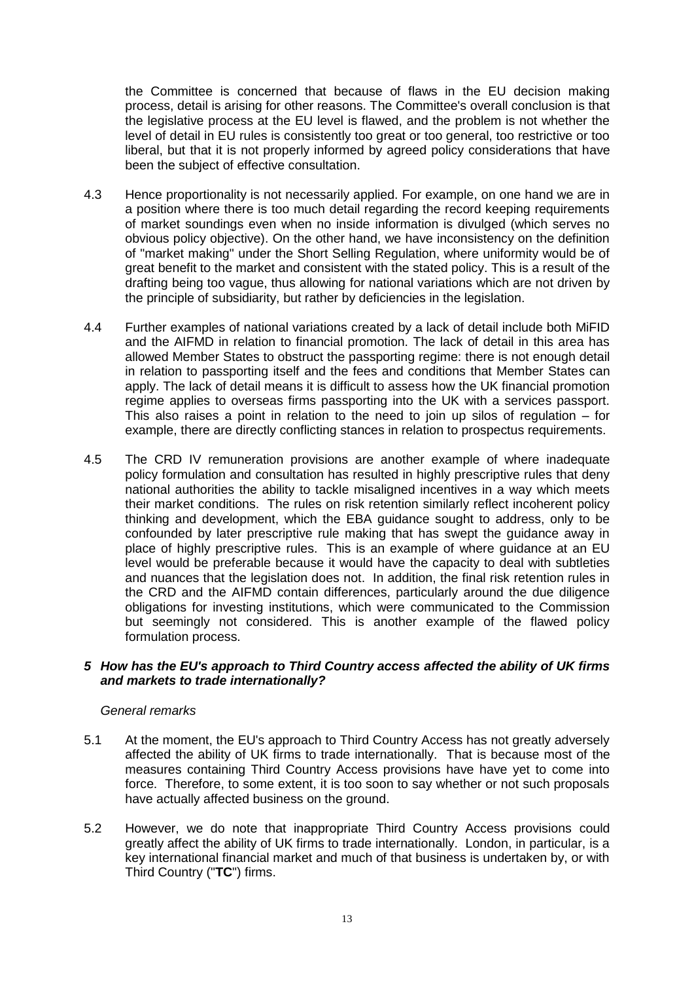the Committee is concerned that because of flaws in the EU decision making process, detail is arising for other reasons. The Committee's overall conclusion is that the legislative process at the EU level is flawed, and the problem is not whether the level of detail in EU rules is consistently too great or too general, too restrictive or too liberal, but that it is not properly informed by agreed policy considerations that have been the subject of effective consultation.

- 4.3 Hence proportionality is not necessarily applied. For example, on one hand we are in a position where there is too much detail regarding the record keeping requirements of market soundings even when no inside information is divulged (which serves no obvious policy objective). On the other hand, we have inconsistency on the definition of "market making" under the Short Selling Regulation, where uniformity would be of great benefit to the market and consistent with the stated policy. This is a result of the drafting being too vague, thus allowing for national variations which are not driven by the principle of subsidiarity, but rather by deficiencies in the legislation.
- <span id="page-12-0"></span>4.4 Further examples of national variations created by a lack of detail include both MiFID and the AIFMD in relation to financial promotion. The lack of detail in this area has allowed Member States to obstruct the passporting regime: there is not enough detail in relation to passporting itself and the fees and conditions that Member States can apply. The lack of detail means it is difficult to assess how the UK financial promotion regime applies to overseas firms passporting into the UK with a services passport. This also raises a point in relation to the need to join up silos of regulation – for example, there are directly conflicting stances in relation to prospectus requirements.
- 4.5 The CRD IV remuneration provisions are another example of where inadequate policy formulation and consultation has resulted in highly prescriptive rules that deny national authorities the ability to tackle misaligned incentives in a way which meets their market conditions. The rules on risk retention similarly reflect incoherent policy thinking and development, which the EBA guidance sought to address, only to be confounded by later prescriptive rule making that has swept the guidance away in place of highly prescriptive rules. This is an example of where guidance at an EU level would be preferable because it would have the capacity to deal with subtleties and nuances that the legislation does not. In addition, the final risk retention rules in the CRD and the AIFMD contain differences, particularly around the due diligence obligations for investing institutions, which were communicated to the Commission but seemingly not considered. This is another example of the flawed policy formulation process.

## *5 How has the EU's approach to Third Country access affected the ability of UK firms and markets to trade internationally?*

## *General remarks*

- 5.1 At the moment, the EU's approach to Third Country Access has not greatly adversely affected the ability of UK firms to trade internationally. That is because most of the measures containing Third Country Access provisions have have yet to come into force. Therefore, to some extent, it is too soon to say whether or not such proposals have actually affected business on the ground.
- 5.2 However, we do note that inappropriate Third Country Access provisions could greatly affect the ability of UK firms to trade internationally. London, in particular, is a key international financial market and much of that business is undertaken by, or with Third Country ("**TC**") firms.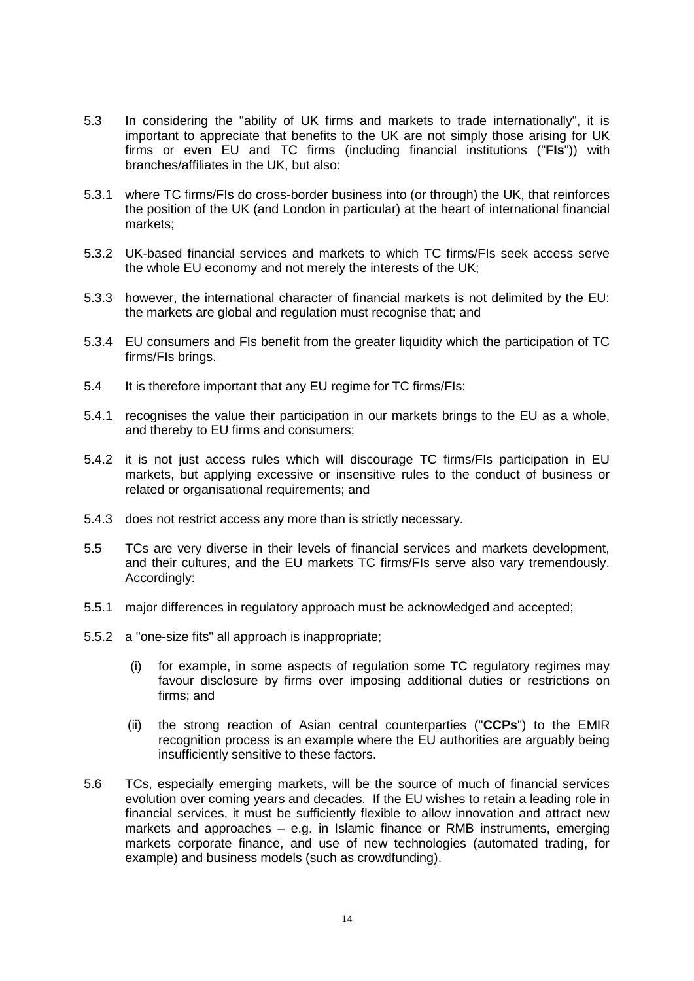- 5.3 In considering the "ability of UK firms and markets to trade internationally", it is important to appreciate that benefits to the UK are not simply those arising for UK firms or even EU and TC firms (including financial institutions ("**FIs**")) with branches/affiliates in the UK, but also:
- 5.3.1 where TC firms/FIs do cross-border business into (or through) the UK, that reinforces the position of the UK (and London in particular) at the heart of international financial markets;
- 5.3.2 UK-based financial services and markets to which TC firms/FIs seek access serve the whole EU economy and not merely the interests of the UK;
- 5.3.3 however, the international character of financial markets is not delimited by the EU: the markets are global and regulation must recognise that; and
- 5.3.4 EU consumers and FIs benefit from the greater liquidity which the participation of TC firms/FIs brings.
- 5.4 It is therefore important that any EU regime for TC firms/FIs:
- 5.4.1 recognises the value their participation in our markets brings to the EU as a whole, and thereby to EU firms and consumers;
- 5.4.2 it is not just access rules which will discourage TC firms/FIs participation in EU markets, but applying excessive or insensitive rules to the conduct of business or related or organisational requirements; and
- 5.4.3 does not restrict access any more than is strictly necessary.
- 5.5 TCs are very diverse in their levels of financial services and markets development, and their cultures, and the EU markets TC firms/FIs serve also vary tremendously. Accordingly:
- 5.5.1 major differences in regulatory approach must be acknowledged and accepted;
- 5.5.2 a "one-size fits" all approach is inappropriate;
	- (i) for example, in some aspects of regulation some TC regulatory regimes may favour disclosure by firms over imposing additional duties or restrictions on firms; and
	- (ii) the strong reaction of Asian central counterparties ("**CCPs**") to the EMIR recognition process is an example where the EU authorities are arguably being insufficiently sensitive to these factors.
- 5.6 TCs, especially emerging markets, will be the source of much of financial services evolution over coming years and decades. If the EU wishes to retain a leading role in financial services, it must be sufficiently flexible to allow innovation and attract new markets and approaches – e.g. in Islamic finance or RMB instruments, emerging markets corporate finance, and use of new technologies (automated trading, for example) and business models (such as crowdfunding).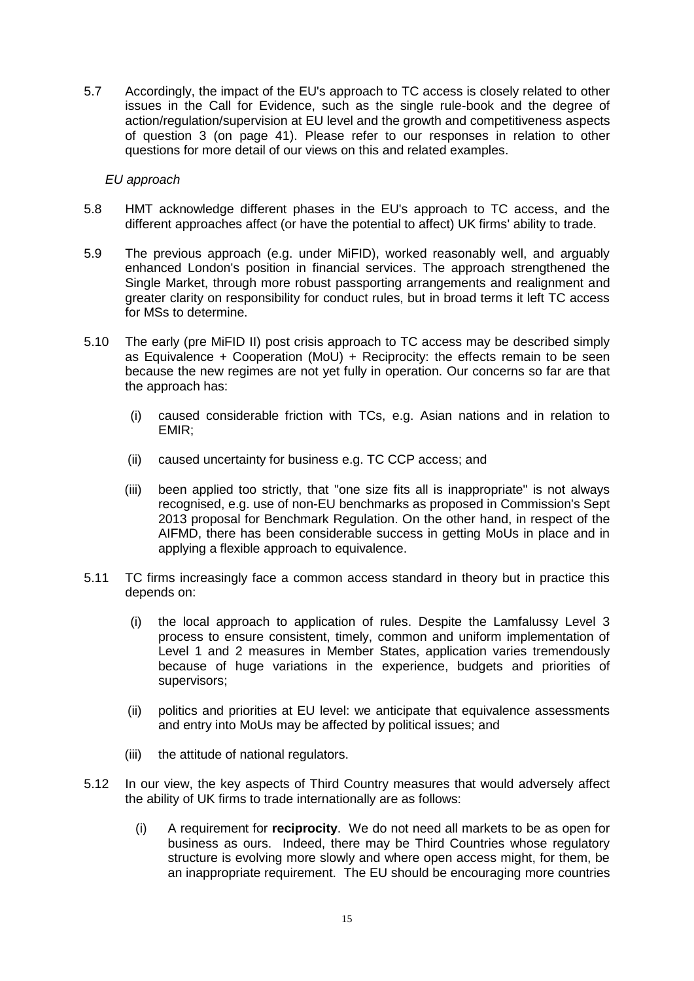5.7 Accordingly, the impact of the EU's approach to TC access is closely related to other issues in the Call for Evidence, such as the single rule-book and the degree of action/regulation/supervision at EU level and the growth and competitiveness aspects of question 3 (on page 41). Please refer to our responses in relation to other questions for more detail of our views on this and related examples.

#### *EU approach*

- 5.8 HMT acknowledge different phases in the EU's approach to TC access, and the different approaches affect (or have the potential to affect) UK firms' ability to trade.
- 5.9 The previous approach (e.g. under MiFID), worked reasonably well, and arguably enhanced London's position in financial services. The approach strengthened the Single Market, through more robust passporting arrangements and realignment and greater clarity on responsibility for conduct rules, but in broad terms it left TC access for MSs to determine.
- 5.10 The early (pre MiFID II) post crisis approach to TC access may be described simply as Equivalence + Cooperation (MoU) + Reciprocity: the effects remain to be seen because the new regimes are not yet fully in operation. Our concerns so far are that the approach has:
	- (i) caused considerable friction with TCs, e.g. Asian nations and in relation to EMIR;
	- (ii) caused uncertainty for business e.g. TC CCP access; and
	- (iii) been applied too strictly, that "one size fits all is inappropriate" is not always recognised, e.g. use of non-EU benchmarks as proposed in Commission's Sept 2013 proposal for Benchmark Regulation. On the other hand, in respect of the AIFMD, there has been considerable success in getting MoUs in place and in applying a flexible approach to equivalence.
- 5.11 TC firms increasingly face a common access standard in theory but in practice this depends on:
	- (i) the local approach to application of rules. Despite the Lamfalussy Level 3 process to ensure consistent, timely, common and uniform implementation of Level 1 and 2 measures in Member States, application varies tremendously because of huge variations in the experience, budgets and priorities of supervisors;
	- (ii) politics and priorities at EU level: we anticipate that equivalence assessments and entry into MoUs may be affected by political issues; and
	- (iii) the attitude of national regulators.
- 5.12 In our view, the key aspects of Third Country measures that would adversely affect the ability of UK firms to trade internationally are as follows:
	- (i) A requirement for **reciprocity**. We do not need all markets to be as open for business as ours. Indeed, there may be Third Countries whose regulatory structure is evolving more slowly and where open access might, for them, be an inappropriate requirement. The EU should be encouraging more countries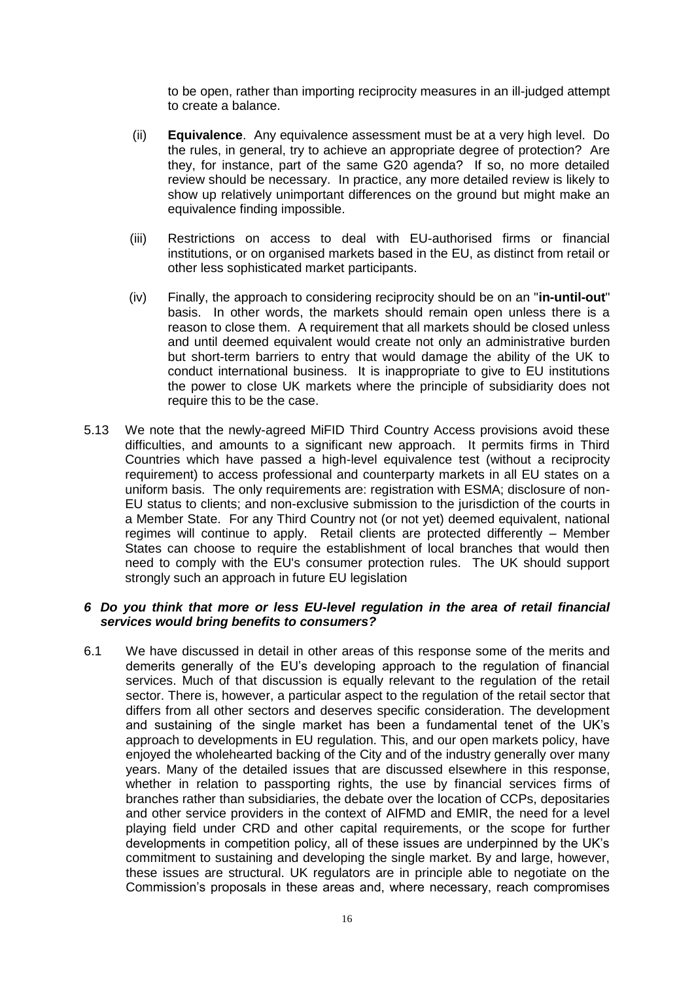to be open, rather than importing reciprocity measures in an ill-judged attempt to create a balance.

- (ii) **Equivalence**. Any equivalence assessment must be at a very high level. Do the rules, in general, try to achieve an appropriate degree of protection? Are they, for instance, part of the same G20 agenda? If so, no more detailed review should be necessary. In practice, any more detailed review is likely to show up relatively unimportant differences on the ground but might make an equivalence finding impossible.
- (iii) Restrictions on access to deal with EU-authorised firms or financial institutions, or on organised markets based in the EU, as distinct from retail or other less sophisticated market participants.
- (iv) Finally, the approach to considering reciprocity should be on an "**in-until-out**" basis. In other words, the markets should remain open unless there is a reason to close them. A requirement that all markets should be closed unless and until deemed equivalent would create not only an administrative burden but short-term barriers to entry that would damage the ability of the UK to conduct international business. It is inappropriate to give to EU institutions the power to close UK markets where the principle of subsidiarity does not require this to be the case.
- 5.13 We note that the newly-agreed MiFID Third Country Access provisions avoid these difficulties, and amounts to a significant new approach. It permits firms in Third Countries which have passed a high-level equivalence test (without a reciprocity requirement) to access professional and counterparty markets in all EU states on a uniform basis. The only requirements are: registration with ESMA; disclosure of non-EU status to clients; and non-exclusive submission to the jurisdiction of the courts in a Member State. For any Third Country not (or not yet) deemed equivalent, national regimes will continue to apply. Retail clients are protected differently – Member States can choose to require the establishment of local branches that would then need to comply with the EU's consumer protection rules. The UK should support strongly such an approach in future EU legislation

#### *6 Do you think that more or less EU-level regulation in the area of retail financial services would bring benefits to consumers?*

6.1 We have discussed in detail in other areas of this response some of the merits and demerits generally of the EU's developing approach to the regulation of financial services. Much of that discussion is equally relevant to the regulation of the retail sector. There is, however, a particular aspect to the regulation of the retail sector that differs from all other sectors and deserves specific consideration. The development and sustaining of the single market has been a fundamental tenet of the UK's approach to developments in EU regulation. This, and our open markets policy, have enjoyed the wholehearted backing of the City and of the industry generally over many years. Many of the detailed issues that are discussed elsewhere in this response, whether in relation to passporting rights, the use by financial services firms of branches rather than subsidiaries, the debate over the location of CCPs, depositaries and other service providers in the context of AIFMD and EMIR, the need for a level playing field under CRD and other capital requirements, or the scope for further developments in competition policy, all of these issues are underpinned by the UK's commitment to sustaining and developing the single market. By and large, however, these issues are structural. UK regulators are in principle able to negotiate on the Commission's proposals in these areas and, where necessary, reach compromises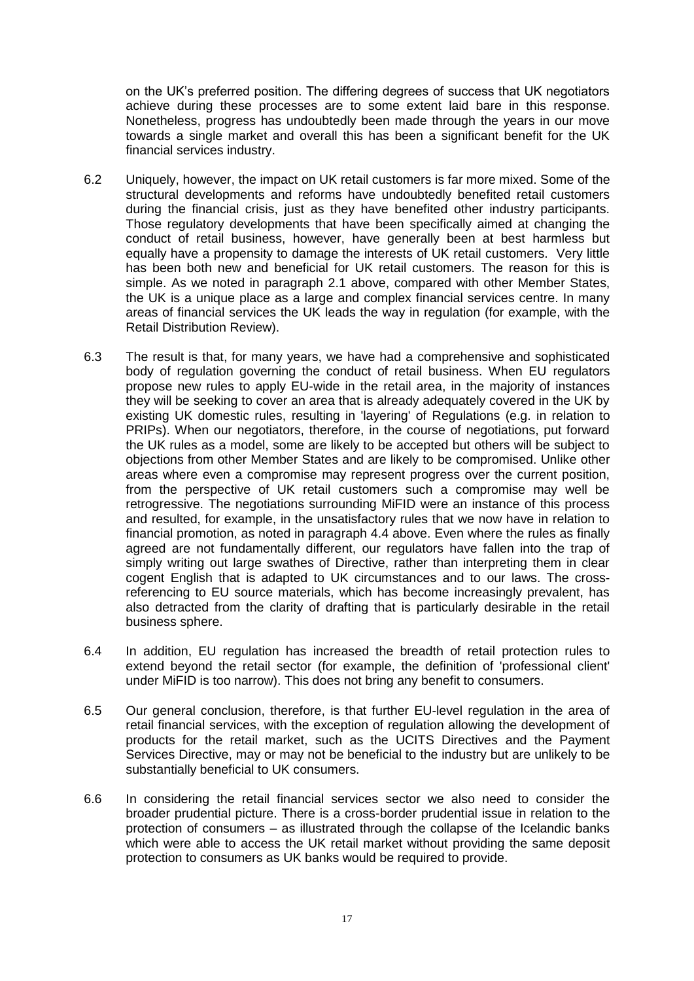on the UK's preferred position. The differing degrees of success that UK negotiators achieve during these processes are to some extent laid bare in this response. Nonetheless, progress has undoubtedly been made through the years in our move towards a single market and overall this has been a significant benefit for the UK financial services industry.

- 6.2 Uniquely, however, the impact on UK retail customers is far more mixed. Some of the structural developments and reforms have undoubtedly benefited retail customers during the financial crisis, just as they have benefited other industry participants. Those regulatory developments that have been specifically aimed at changing the conduct of retail business, however, have generally been at best harmless but equally have a propensity to damage the interests of UK retail customers. Very little has been both new and beneficial for UK retail customers. The reason for this is simple. As we noted in paragraph [2.1](#page-10-0) above, compared with other Member States, the UK is a unique place as a large and complex financial services centre. In many areas of financial services the UK leads the way in regulation (for example, with the Retail Distribution Review).
- 6.3 The result is that, for many years, we have had a comprehensive and sophisticated body of regulation governing the conduct of retail business. When EU regulators propose new rules to apply EU-wide in the retail area, in the majority of instances they will be seeking to cover an area that is already adequately covered in the UK by existing UK domestic rules, resulting in 'layering' of Regulations (e.g. in relation to PRIPs). When our negotiators, therefore, in the course of negotiations, put forward the UK rules as a model, some are likely to be accepted but others will be subject to objections from other Member States and are likely to be compromised. Unlike other areas where even a compromise may represent progress over the current position, from the perspective of UK retail customers such a compromise may well be retrogressive. The negotiations surrounding MiFID were an instance of this process and resulted, for example, in the unsatisfactory rules that we now have in relation to financial promotion, as noted in paragraph [4.4](#page-12-0) above. Even where the rules as finally agreed are not fundamentally different, our regulators have fallen into the trap of simply writing out large swathes of Directive, rather than interpreting them in clear cogent English that is adapted to UK circumstances and to our laws. The crossreferencing to EU source materials, which has become increasingly prevalent, has also detracted from the clarity of drafting that is particularly desirable in the retail business sphere.
- 6.4 In addition, EU regulation has increased the breadth of retail protection rules to extend beyond the retail sector (for example, the definition of 'professional client' under MiFID is too narrow). This does not bring any benefit to consumers.
- 6.5 Our general conclusion, therefore, is that further EU-level regulation in the area of retail financial services, with the exception of regulation allowing the development of products for the retail market, such as the UCITS Directives and the Payment Services Directive, may or may not be beneficial to the industry but are unlikely to be substantially beneficial to UK consumers.
- 6.6 In considering the retail financial services sector we also need to consider the broader prudential picture. There is a cross-border prudential issue in relation to the protection of consumers – as illustrated through the collapse of the Icelandic banks which were able to access the UK retail market without providing the same deposit protection to consumers as UK banks would be required to provide.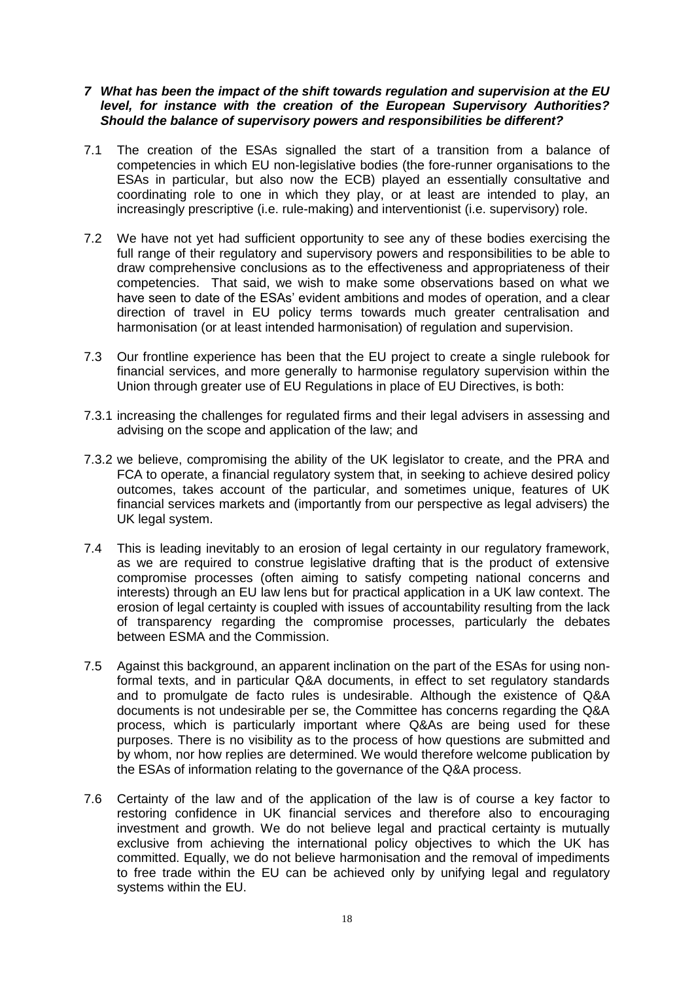#### *7 What has been the impact of the shift towards regulation and supervision at the EU level, for instance with the creation of the European Supervisory Authorities? Should the balance of supervisory powers and responsibilities be different?*

- 7.1 The creation of the ESAs signalled the start of a transition from a balance of competencies in which EU non-legislative bodies (the fore-runner organisations to the ESAs in particular, but also now the ECB) played an essentially consultative and coordinating role to one in which they play, or at least are intended to play, an increasingly prescriptive (i.e. rule-making) and interventionist (i.e. supervisory) role.
- 7.2 We have not yet had sufficient opportunity to see any of these bodies exercising the full range of their regulatory and supervisory powers and responsibilities to be able to draw comprehensive conclusions as to the effectiveness and appropriateness of their competencies. That said, we wish to make some observations based on what we have seen to date of the ESAs' evident ambitions and modes of operation, and a clear direction of travel in EU policy terms towards much greater centralisation and harmonisation (or at least intended harmonisation) of regulation and supervision.
- 7.3 Our frontline experience has been that the EU project to create a single rulebook for financial services, and more generally to harmonise regulatory supervision within the Union through greater use of EU Regulations in place of EU Directives, is both:
- 7.3.1 increasing the challenges for regulated firms and their legal advisers in assessing and advising on the scope and application of the law; and
- 7.3.2 we believe, compromising the ability of the UK legislator to create, and the PRA and FCA to operate, a financial regulatory system that, in seeking to achieve desired policy outcomes, takes account of the particular, and sometimes unique, features of UK financial services markets and (importantly from our perspective as legal advisers) the UK legal system.
- 7.4 This is leading inevitably to an erosion of legal certainty in our regulatory framework, as we are required to construe legislative drafting that is the product of extensive compromise processes (often aiming to satisfy competing national concerns and interests) through an EU law lens but for practical application in a UK law context. The erosion of legal certainty is coupled with issues of accountability resulting from the lack of transparency regarding the compromise processes, particularly the debates between ESMA and the Commission.
- 7.5 Against this background, an apparent inclination on the part of the ESAs for using nonformal texts, and in particular Q&A documents, in effect to set regulatory standards and to promulgate de facto rules is undesirable. Although the existence of Q&A documents is not undesirable per se, the Committee has concerns regarding the Q&A process, which is particularly important where Q&As are being used for these purposes. There is no visibility as to the process of how questions are submitted and by whom, nor how replies are determined. We would therefore welcome publication by the ESAs of information relating to the governance of the Q&A process.
- 7.6 Certainty of the law and of the application of the law is of course a key factor to restoring confidence in UK financial services and therefore also to encouraging investment and growth. We do not believe legal and practical certainty is mutually exclusive from achieving the international policy objectives to which the UK has committed. Equally, we do not believe harmonisation and the removal of impediments to free trade within the EU can be achieved only by unifying legal and regulatory systems within the EU.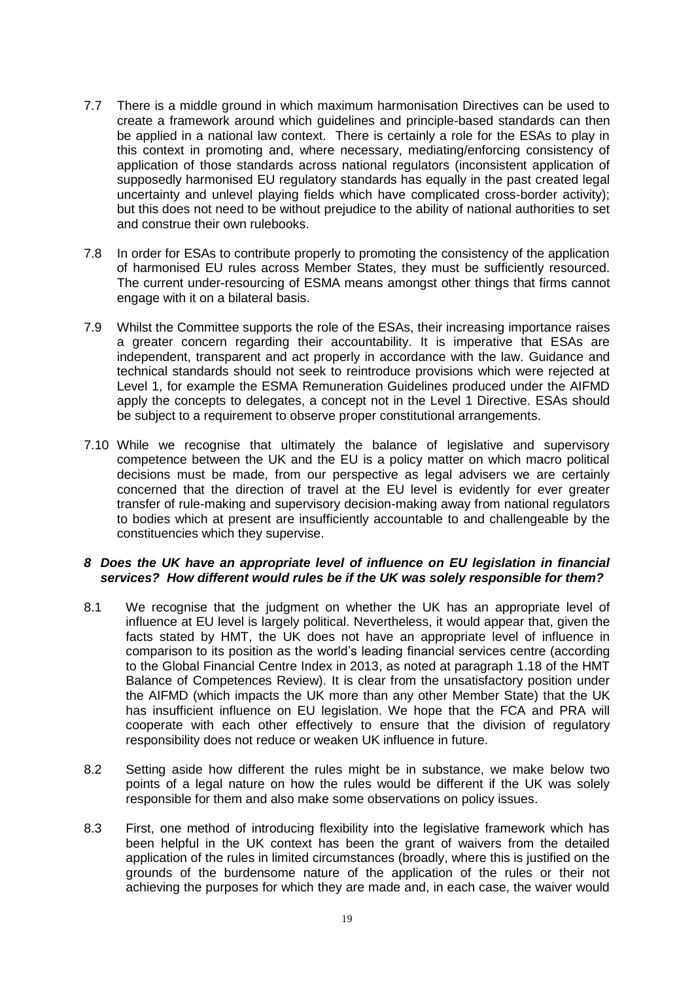- 7.7 There is a middle ground in which maximum harmonisation Directives can be used to create a framework around which guidelines and principle-based standards can then be applied in a national law context. There is certainly a role for the ESAs to play in this context in promoting and, where necessary, mediating/enforcing consistency of application of those standards across national regulators (inconsistent application of supposedly harmonised EU regulatory standards has equally in the past created legal uncertainty and unlevel playing fields which have complicated cross-border activity); but this does not need to be without prejudice to the ability of national authorities to set and construe their own rulebooks.
- 7.8 In order for ESAs to contribute properly to promoting the consistency of the application of harmonised EU rules across Member States, they must be sufficiently resourced. The current under-resourcing of ESMA means amongst other things that firms cannot engage with it on a bilateral basis.
- 7.9 Whilst the Committee supports the role of the ESAs, their increasing importance raises a greater concern regarding their accountability. It is imperative that ESAs are independent, transparent and act properly in accordance with the law. Guidance and technical standards should not seek to reintroduce provisions which were rejected at Level 1, for example the ESMA Remuneration Guidelines produced under the AIFMD apply the concepts to delegates, a concept not in the Level 1 Directive. ESAs should be subject to a requirement to observe proper constitutional arrangements.
- 7.10 While we recognise that ultimately the balance of legislative and supervisory competence between the UK and the EU is a policy matter on which macro political decisions must be made, from our perspective as legal advisers we are certainly concerned that the direction of travel at the EU level is evidently for ever greater transfer of rule-making and supervisory decision-making away from national regulators to bodies which at present are insufficiently accountable to and challengeable by the constituencies which they supervise.

#### *8 Does the UK have an appropriate level of influence on EU legislation in financial services? How different would rules be if the UK was solely responsible for them?*

- 8.1 We recognise that the judgment on whether the UK has an appropriate level of influence at EU level is largely political. Nevertheless, it would appear that, given the facts stated by HMT, the UK does not have an appropriate level of influence in comparison to its position as the world's leading financial services centre (according to the Global Financial Centre Index in 2013, as noted at paragraph 1.18 of the HMT Balance of Competences Review). It is clear from the unsatisfactory position under the AIFMD (which impacts the UK more than any other Member State) that the UK has insufficient influence on EU legislation. We hope that the FCA and PRA will cooperate with each other effectively to ensure that the division of regulatory responsibility does not reduce or weaken UK influence in future.
- 8.2 Setting aside how different the rules might be in substance, we make below two points of a legal nature on how the rules would be different if the UK was solely responsible for them and also make some observations on policy issues.
- 8.3 First, one method of introducing flexibility into the legislative framework which has been helpful in the UK context has been the grant of waivers from the detailed application of the rules in limited circumstances (broadly, where this is justified on the grounds of the burdensome nature of the application of the rules or their not achieving the purposes for which they are made and, in each case, the waiver would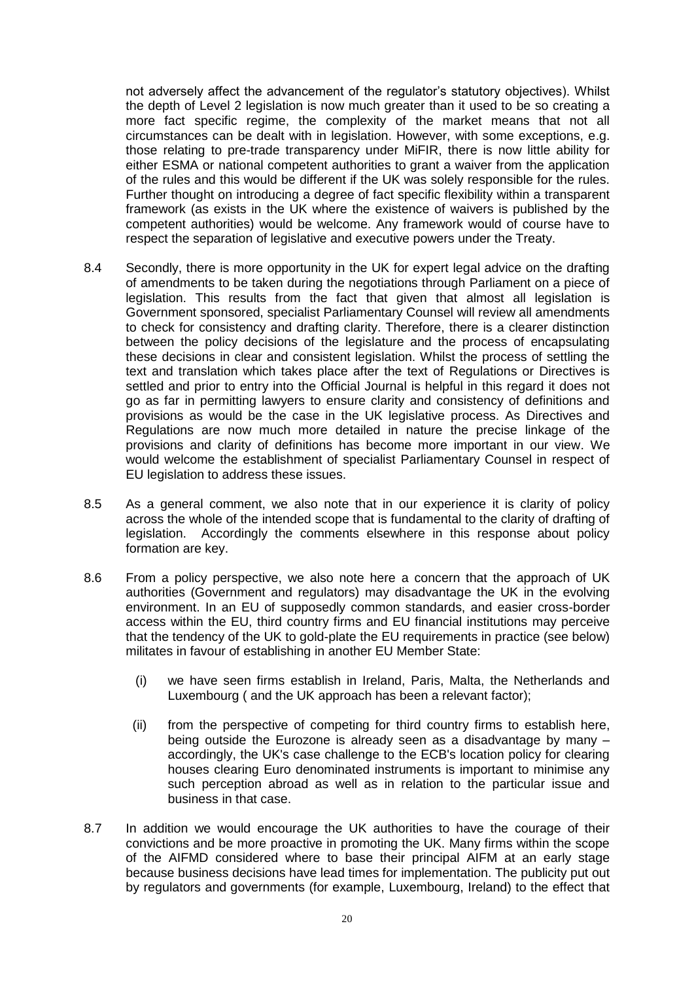not adversely affect the advancement of the regulator's statutory objectives). Whilst the depth of Level 2 legislation is now much greater than it used to be so creating a more fact specific regime, the complexity of the market means that not all circumstances can be dealt with in legislation. However, with some exceptions, e.g. those relating to pre-trade transparency under MiFIR, there is now little ability for either ESMA or national competent authorities to grant a waiver from the application of the rules and this would be different if the UK was solely responsible for the rules. Further thought on introducing a degree of fact specific flexibility within a transparent framework (as exists in the UK where the existence of waivers is published by the competent authorities) would be welcome. Any framework would of course have to respect the separation of legislative and executive powers under the Treaty.

- 8.4 Secondly, there is more opportunity in the UK for expert legal advice on the drafting of amendments to be taken during the negotiations through Parliament on a piece of legislation. This results from the fact that given that almost all legislation is Government sponsored, specialist Parliamentary Counsel will review all amendments to check for consistency and drafting clarity. Therefore, there is a clearer distinction between the policy decisions of the legislature and the process of encapsulating these decisions in clear and consistent legislation. Whilst the process of settling the text and translation which takes place after the text of Regulations or Directives is settled and prior to entry into the Official Journal is helpful in this regard it does not go as far in permitting lawyers to ensure clarity and consistency of definitions and provisions as would be the case in the UK legislative process. As Directives and Regulations are now much more detailed in nature the precise linkage of the provisions and clarity of definitions has become more important in our view. We would welcome the establishment of specialist Parliamentary Counsel in respect of EU legislation to address these issues.
- 8.5 As a general comment, we also note that in our experience it is clarity of policy across the whole of the intended scope that is fundamental to the clarity of drafting of legislation. Accordingly the comments elsewhere in this response about policy formation are key.
- 8.6 From a policy perspective, we also note here a concern that the approach of UK authorities (Government and regulators) may disadvantage the UK in the evolving environment. In an EU of supposedly common standards, and easier cross-border access within the EU, third country firms and EU financial institutions may perceive that the tendency of the UK to gold-plate the EU requirements in practice (see below) militates in favour of establishing in another EU Member State:
	- (i) we have seen firms establish in Ireland, Paris, Malta, the Netherlands and Luxembourg ( and the UK approach has been a relevant factor);
	- (ii) from the perspective of competing for third country firms to establish here, being outside the Eurozone is already seen as a disadvantage by many – accordingly, the UK's case challenge to the ECB's location policy for clearing houses clearing Euro denominated instruments is important to minimise any such perception abroad as well as in relation to the particular issue and business in that case.
- 8.7 In addition we would encourage the UK authorities to have the courage of their convictions and be more proactive in promoting the UK. Many firms within the scope of the AIFMD considered where to base their principal AIFM at an early stage because business decisions have lead times for implementation. The publicity put out by regulators and governments (for example, Luxembourg, Ireland) to the effect that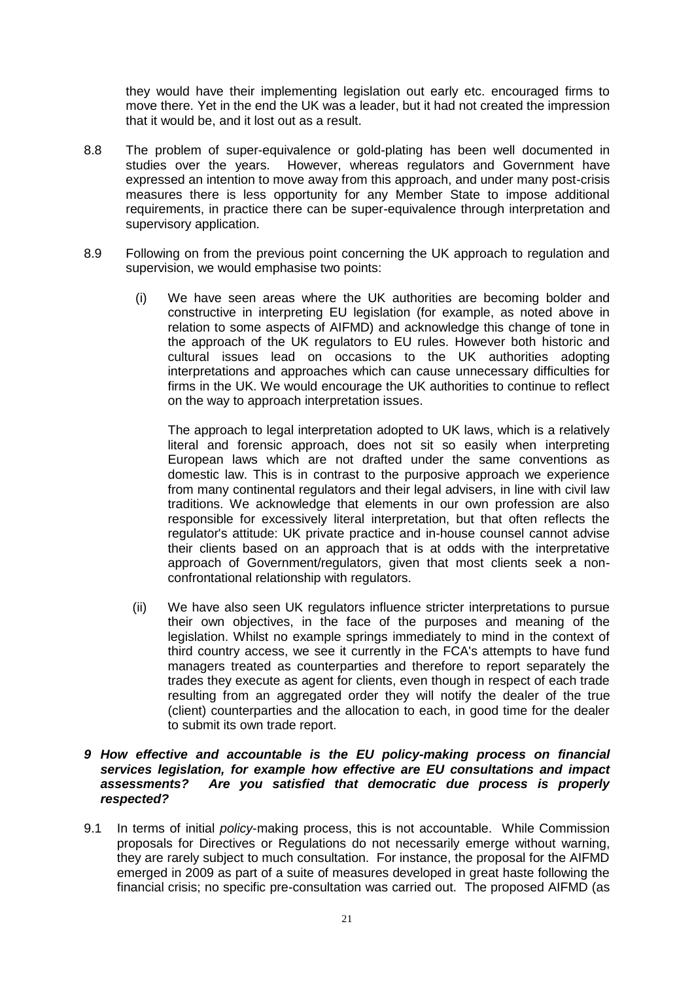they would have their implementing legislation out early etc. encouraged firms to move there. Yet in the end the UK was a leader, but it had not created the impression that it would be, and it lost out as a result.

- 8.8 The problem of super-equivalence or gold-plating has been well documented in studies over the years. However, whereas regulators and Government have expressed an intention to move away from this approach, and under many post-crisis measures there is less opportunity for any Member State to impose additional requirements, in practice there can be super-equivalence through interpretation and supervisory application.
- 8.9 Following on from the previous point concerning the UK approach to regulation and supervision, we would emphasise two points:
	- (i) We have seen areas where the UK authorities are becoming bolder and constructive in interpreting EU legislation (for example, as noted above in relation to some aspects of AIFMD) and acknowledge this change of tone in the approach of the UK regulators to EU rules. However both historic and cultural issues lead on occasions to the UK authorities adopting interpretations and approaches which can cause unnecessary difficulties for firms in the UK. We would encourage the UK authorities to continue to reflect on the way to approach interpretation issues.

The approach to legal interpretation adopted to UK laws, which is a relatively literal and forensic approach, does not sit so easily when interpreting European laws which are not drafted under the same conventions as domestic law. This is in contrast to the purposive approach we experience from many continental regulators and their legal advisers, in line with civil law traditions. We acknowledge that elements in our own profession are also responsible for excessively literal interpretation, but that often reflects the regulator's attitude: UK private practice and in-house counsel cannot advise their clients based on an approach that is at odds with the interpretative approach of Government/regulators, given that most clients seek a nonconfrontational relationship with regulators.

(ii) We have also seen UK regulators influence stricter interpretations to pursue their own objectives, in the face of the purposes and meaning of the legislation. Whilst no example springs immediately to mind in the context of third country access, we see it currently in the FCA's attempts to have fund managers treated as counterparties and therefore to report separately the trades they execute as agent for clients, even though in respect of each trade resulting from an aggregated order they will notify the dealer of the true (client) counterparties and the allocation to each, in good time for the dealer to submit its own trade report.

#### *9 How effective and accountable is the EU policy-making process on financial services legislation, for example how effective are EU consultations and impact assessments? Are you satisfied that democratic due process is properly respected?*

9.1 In terms of initial *policy*-making process, this is not accountable. While Commission proposals for Directives or Regulations do not necessarily emerge without warning, they are rarely subject to much consultation. For instance, the proposal for the AIFMD emerged in 2009 as part of a suite of measures developed in great haste following the financial crisis; no specific pre-consultation was carried out. The proposed AIFMD (as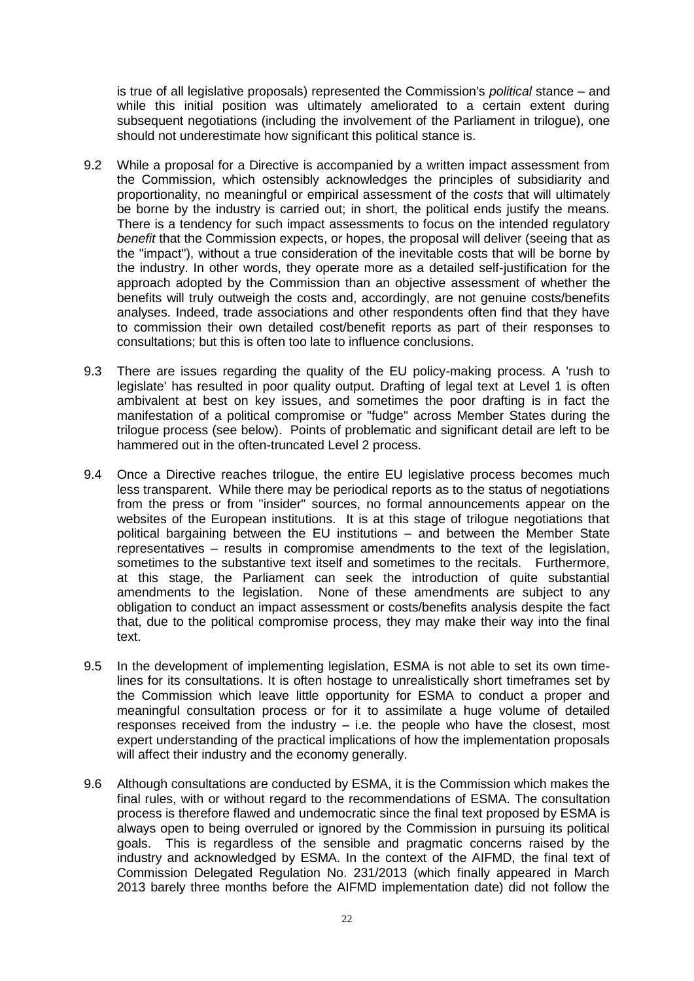is true of all legislative proposals) represented the Commission's *political* stance – and while this initial position was ultimately ameliorated to a certain extent during subsequent negotiations (including the involvement of the Parliament in trilogue), one should not underestimate how significant this political stance is.

- 9.2 While a proposal for a Directive is accompanied by a written impact assessment from the Commission, which ostensibly acknowledges the principles of subsidiarity and proportionality, no meaningful or empirical assessment of the *costs* that will ultimately be borne by the industry is carried out; in short, the political ends justify the means. There is a tendency for such impact assessments to focus on the intended regulatory *benefit* that the Commission expects, or hopes, the proposal will deliver (seeing that as the "impact"), without a true consideration of the inevitable costs that will be borne by the industry. In other words, they operate more as a detailed self-justification for the approach adopted by the Commission than an objective assessment of whether the benefits will truly outweigh the costs and, accordingly, are not genuine costs/benefits analyses. Indeed, trade associations and other respondents often find that they have to commission their own detailed cost/benefit reports as part of their responses to consultations; but this is often too late to influence conclusions.
- 9.3 There are issues regarding the quality of the EU policy-making process. A 'rush to legislate' has resulted in poor quality output. Drafting of legal text at Level 1 is often ambivalent at best on key issues, and sometimes the poor drafting is in fact the manifestation of a political compromise or "fudge" across Member States during the trilogue process (see below). Points of problematic and significant detail are left to be hammered out in the often-truncated Level 2 process.
- 9.4 Once a Directive reaches trilogue, the entire EU legislative process becomes much less transparent. While there may be periodical reports as to the status of negotiations from the press or from "insider" sources, no formal announcements appear on the websites of the European institutions. It is at this stage of trilogue negotiations that political bargaining between the EU institutions – and between the Member State representatives – results in compromise amendments to the text of the legislation, sometimes to the substantive text itself and sometimes to the recitals. Furthermore, at this stage, the Parliament can seek the introduction of quite substantial amendments to the legislation. None of these amendments are subject to any obligation to conduct an impact assessment or costs/benefits analysis despite the fact that, due to the political compromise process, they may make their way into the final text.
- 9.5 In the development of implementing legislation, ESMA is not able to set its own timelines for its consultations. It is often hostage to unrealistically short timeframes set by the Commission which leave little opportunity for ESMA to conduct a proper and meaningful consultation process or for it to assimilate a huge volume of detailed responses received from the industry – i.e. the people who have the closest, most expert understanding of the practical implications of how the implementation proposals will affect their industry and the economy generally.
- 9.6 Although consultations are conducted by ESMA, it is the Commission which makes the final rules, with or without regard to the recommendations of ESMA. The consultation process is therefore flawed and undemocratic since the final text proposed by ESMA is always open to being overruled or ignored by the Commission in pursuing its political goals. This is regardless of the sensible and pragmatic concerns raised by the industry and acknowledged by ESMA. In the context of the AIFMD, the final text of Commission Delegated Regulation No. 231/2013 (which finally appeared in March 2013 barely three months before the AIFMD implementation date) did not follow the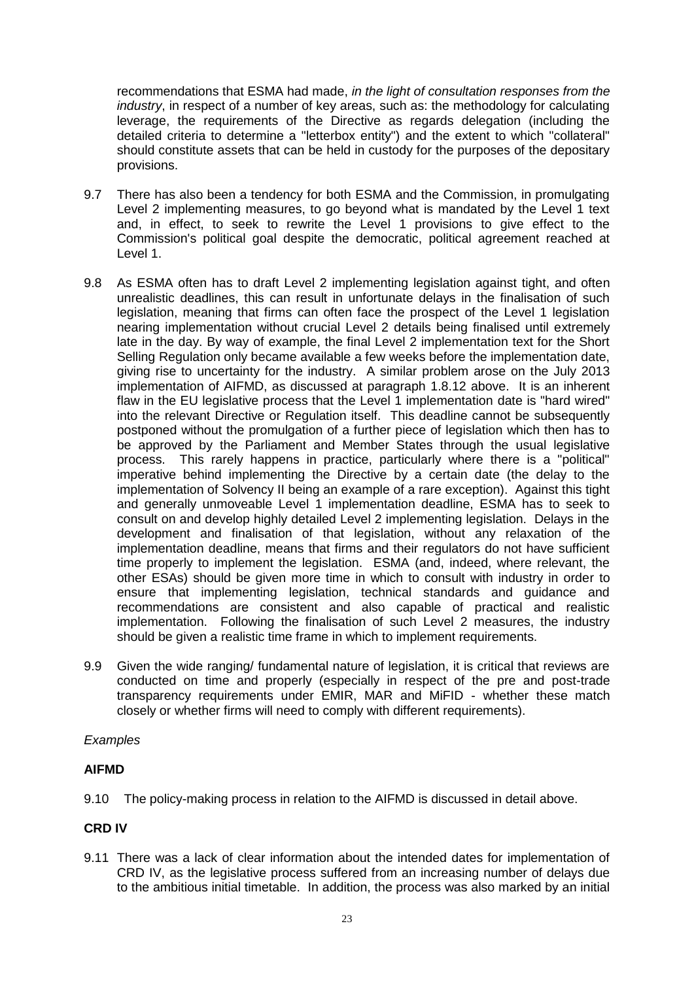recommendations that ESMA had made, *in the light of consultation responses from the industry*, in respect of a number of key areas, such as: the methodology for calculating leverage, the requirements of the Directive as regards delegation (including the detailed criteria to determine a "letterbox entity") and the extent to which "collateral" should constitute assets that can be held in custody for the purposes of the depositary provisions.

- 9.7 There has also been a tendency for both ESMA and the Commission, in promulgating Level 2 implementing measures, to go beyond what is mandated by the Level 1 text and, in effect, to seek to rewrite the Level 1 provisions to give effect to the Commission's political goal despite the democratic, political agreement reached at Level 1.
- 9.8 As ESMA often has to draft Level 2 implementing legislation against tight, and often unrealistic deadlines, this can result in unfortunate delays in the finalisation of such legislation, meaning that firms can often face the prospect of the Level 1 legislation nearing implementation without crucial Level 2 details being finalised until extremely late in the day. By way of example, the final Level 2 implementation text for the Short Selling Regulation only became available a few weeks before the implementation date, giving rise to uncertainty for the industry. A similar problem arose on the July 2013 implementation of AIFMD, as discussed at paragraph [1.8.12](#page-5-0) above. It is an inherent flaw in the EU legislative process that the Level 1 implementation date is "hard wired" into the relevant Directive or Regulation itself. This deadline cannot be subsequently postponed without the promulgation of a further piece of legislation which then has to be approved by the Parliament and Member States through the usual legislative process. This rarely happens in practice, particularly where there is a "political" imperative behind implementing the Directive by a certain date (the delay to the implementation of Solvency II being an example of a rare exception). Against this tight and generally unmoveable Level 1 implementation deadline, ESMA has to seek to consult on and develop highly detailed Level 2 implementing legislation. Delays in the development and finalisation of that legislation, without any relaxation of the implementation deadline, means that firms and their regulators do not have sufficient time properly to implement the legislation. ESMA (and, indeed, where relevant, the other ESAs) should be given more time in which to consult with industry in order to ensure that implementing legislation, technical standards and guidance and recommendations are consistent and also capable of practical and realistic implementation. Following the finalisation of such Level 2 measures, the industry should be given a realistic time frame in which to implement requirements.
- 9.9 Given the wide ranging/ fundamental nature of legislation, it is critical that reviews are conducted on time and properly (especially in respect of the pre and post-trade transparency requirements under EMIR, MAR and MiFID - whether these match closely or whether firms will need to comply with different requirements).

#### *Examples*

## **AIFMD**

9.10 The policy-making process in relation to the AIFMD is discussed in detail above.

## **CRD IV**

9.11 There was a lack of clear information about the intended dates for implementation of CRD IV, as the legislative process suffered from an increasing number of delays due to the ambitious initial timetable. In addition, the process was also marked by an initial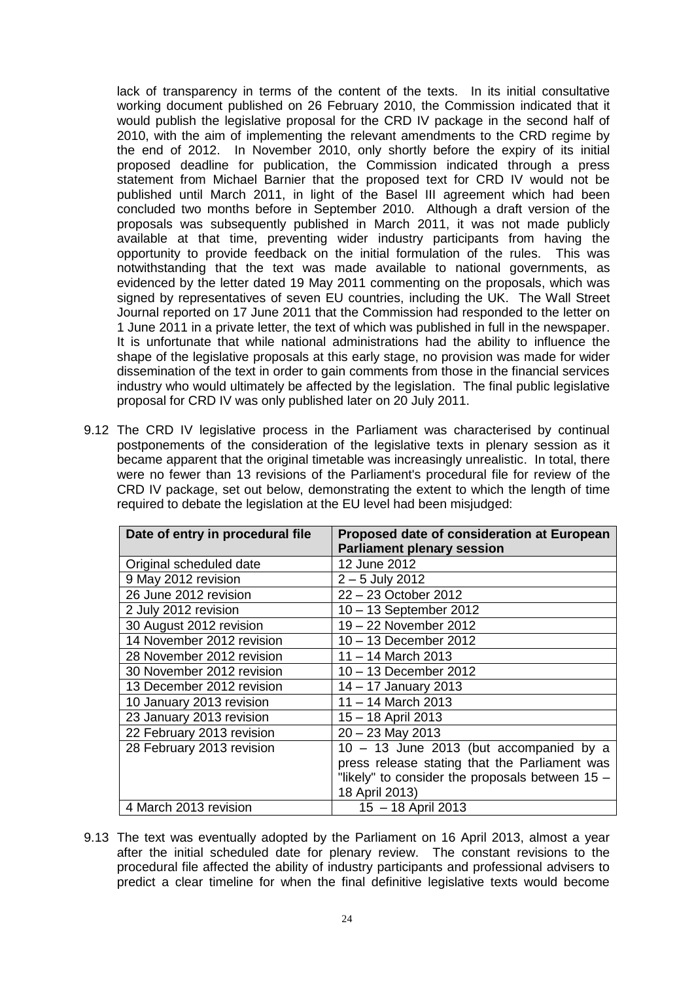lack of transparency in terms of the content of the texts. In its initial consultative working document published on 26 February 2010, the Commission indicated that it would publish the legislative proposal for the CRD IV package in the second half of 2010, with the aim of implementing the relevant amendments to the CRD regime by the end of 2012. In November 2010, only shortly before the expiry of its initial proposed deadline for publication, the Commission indicated through a press statement from Michael Barnier that the proposed text for CRD IV would not be published until March 2011, in light of the Basel III agreement which had been concluded two months before in September 2010. Although a draft version of the proposals was subsequently published in March 2011, it was not made publicly available at that time, preventing wider industry participants from having the opportunity to provide feedback on the initial formulation of the rules. This was notwithstanding that the text was made available to national governments, as evidenced by the letter dated 19 May 2011 commenting on the proposals, which was signed by representatives of seven EU countries, including the UK. The Wall Street Journal reported on 17 June 2011 that the Commission had responded to the letter on 1 June 2011 in a private letter, the text of which was published in full in the newspaper. It is unfortunate that while national administrations had the ability to influence the shape of the legislative proposals at this early stage, no provision was made for wider dissemination of the text in order to gain comments from those in the financial services industry who would ultimately be affected by the legislation. The final public legislative proposal for CRD IV was only published later on 20 July 2011.

9.12 The CRD IV legislative process in the Parliament was characterised by continual postponements of the consideration of the legislative texts in plenary session as it became apparent that the original timetable was increasingly unrealistic. In total, there were no fewer than 13 revisions of the Parliament's procedural file for review of the CRD IV package, set out below, demonstrating the extent to which the length of time required to debate the legislation at the EU level had been misjudged:

| Date of entry in procedural file | Proposed date of consideration at European      |
|----------------------------------|-------------------------------------------------|
|                                  | <b>Parliament plenary session</b>               |
| Original scheduled date          | 12 June 2012                                    |
| 9 May 2012 revision              | $2 - 5$ July 2012                               |
| 26 June 2012 revision            | 22 - 23 October 2012                            |
| 2 July 2012 revision             | 10 - 13 September 2012                          |
| 30 August 2012 revision          | 19 - 22 November 2012                           |
| 14 November 2012 revision        | 10 - 13 December 2012                           |
| 28 November 2012 revision        | 11 – 14 March 2013                              |
| 30 November 2012 revision        | 10 - 13 December 2012                           |
| 13 December 2012 revision        | 14 - 17 January 2013                            |
| 10 January 2013 revision         | $11 - 14$ March 2013                            |
| 23 January 2013 revision         | 15 - 18 April 2013                              |
| 22 February 2013 revision        | $20 - 23$ May 2013                              |
| 28 February 2013 revision        | $10 - 13$ June 2013 (but accompanied by a       |
|                                  | press release stating that the Parliament was   |
|                                  | "likely" to consider the proposals between 15 - |
|                                  | 18 April 2013)                                  |
| 4 March 2013 revision            | 15 - 18 April 2013                              |

9.13 The text was eventually adopted by the Parliament on 16 April 2013, almost a year after the initial scheduled date for plenary review. The constant revisions to the procedural file affected the ability of industry participants and professional advisers to predict a clear timeline for when the final definitive legislative texts would become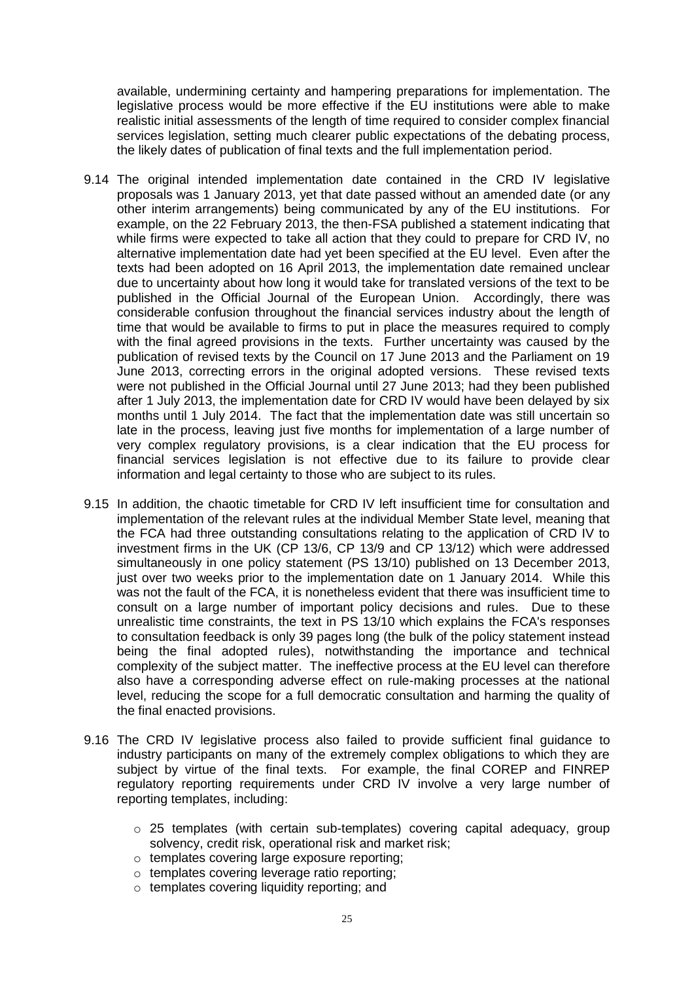available, undermining certainty and hampering preparations for implementation. The legislative process would be more effective if the EU institutions were able to make realistic initial assessments of the length of time required to consider complex financial services legislation, setting much clearer public expectations of the debating process, the likely dates of publication of final texts and the full implementation period.

- 9.14 The original intended implementation date contained in the CRD IV legislative proposals was 1 January 2013, yet that date passed without an amended date (or any other interim arrangements) being communicated by any of the EU institutions. For example, on the 22 February 2013, the then-FSA published a statement indicating that while firms were expected to take all action that they could to prepare for CRD IV, no alternative implementation date had yet been specified at the EU level. Even after the texts had been adopted on 16 April 2013, the implementation date remained unclear due to uncertainty about how long it would take for translated versions of the text to be published in the Official Journal of the European Union. Accordingly, there was considerable confusion throughout the financial services industry about the length of time that would be available to firms to put in place the measures required to comply with the final agreed provisions in the texts. Further uncertainty was caused by the publication of revised texts by the Council on 17 June 2013 and the Parliament on 19 June 2013, correcting errors in the original adopted versions. These revised texts were not published in the Official Journal until 27 June 2013; had they been published after 1 July 2013, the implementation date for CRD IV would have been delayed by six months until 1 July 2014. The fact that the implementation date was still uncertain so late in the process, leaving just five months for implementation of a large number of very complex regulatory provisions, is a clear indication that the EU process for financial services legislation is not effective due to its failure to provide clear information and legal certainty to those who are subject to its rules.
- 9.15 In addition, the chaotic timetable for CRD IV left insufficient time for consultation and implementation of the relevant rules at the individual Member State level, meaning that the FCA had three outstanding consultations relating to the application of CRD IV to investment firms in the UK (CP 13/6, CP 13/9 and CP 13/12) which were addressed simultaneously in one policy statement (PS 13/10) published on 13 December 2013, just over two weeks prior to the implementation date on 1 January 2014. While this was not the fault of the FCA, it is nonetheless evident that there was insufficient time to consult on a large number of important policy decisions and rules. Due to these unrealistic time constraints, the text in PS 13/10 which explains the FCA's responses to consultation feedback is only 39 pages long (the bulk of the policy statement instead being the final adopted rules), notwithstanding the importance and technical complexity of the subject matter. The ineffective process at the EU level can therefore also have a corresponding adverse effect on rule-making processes at the national level, reducing the scope for a full democratic consultation and harming the quality of the final enacted provisions.
- 9.16 The CRD IV legislative process also failed to provide sufficient final guidance to industry participants on many of the extremely complex obligations to which they are subject by virtue of the final texts. For example, the final COREP and FINREP regulatory reporting requirements under CRD IV involve a very large number of reporting templates, including:
	- o 25 templates (with certain sub-templates) covering capital adequacy, group solvency, credit risk, operational risk and market risk;
	- o templates covering large exposure reporting;
	- o templates covering leverage ratio reporting;
	- o templates covering liquidity reporting; and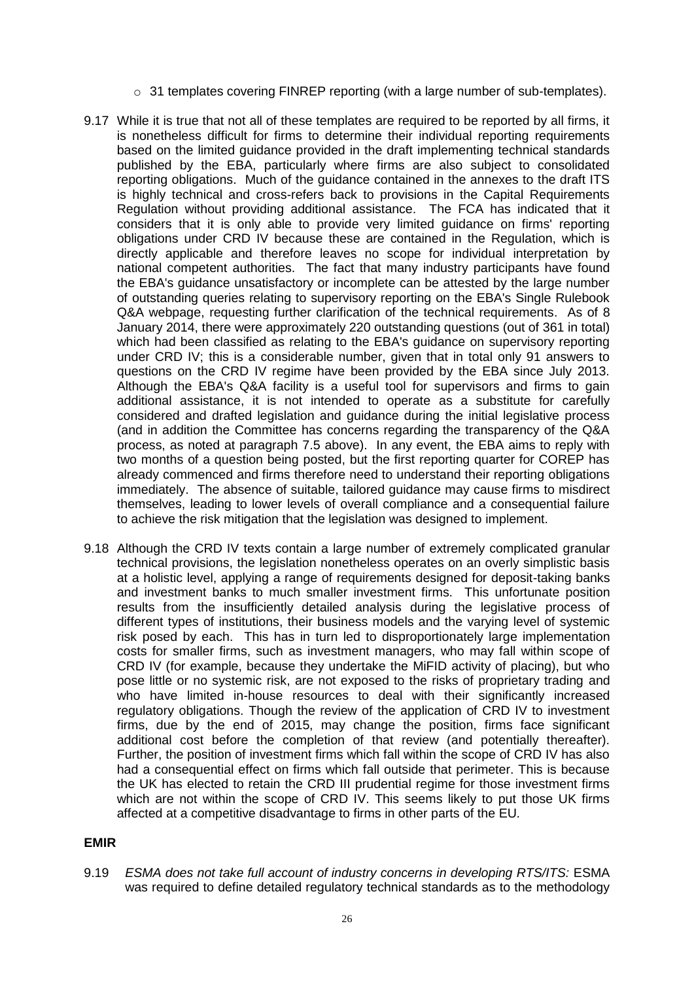- $\circ$  31 templates covering FINREP reporting (with a large number of sub-templates).
- 9.17 While it is true that not all of these templates are required to be reported by all firms, it is nonetheless difficult for firms to determine their individual reporting requirements based on the limited guidance provided in the draft implementing technical standards published by the EBA, particularly where firms are also subject to consolidated reporting obligations. Much of the guidance contained in the annexes to the draft ITS is highly technical and cross-refers back to provisions in the Capital Requirements Regulation without providing additional assistance. The FCA has indicated that it considers that it is only able to provide very limited guidance on firms' reporting obligations under CRD IV because these are contained in the Regulation, which is directly applicable and therefore leaves no scope for individual interpretation by national competent authorities. The fact that many industry participants have found the EBA's guidance unsatisfactory or incomplete can be attested by the large number of outstanding queries relating to supervisory reporting on the EBA's Single Rulebook Q&A webpage, requesting further clarification of the technical requirements. As of 8 January 2014, there were approximately 220 outstanding questions (out of 361 in total) which had been classified as relating to the EBA's guidance on supervisory reporting under CRD IV; this is a considerable number, given that in total only 91 answers to questions on the CRD IV regime have been provided by the EBA since July 2013. Although the EBA's Q&A facility is a useful tool for supervisors and firms to gain additional assistance, it is not intended to operate as a substitute for carefully considered and drafted legislation and guidance during the initial legislative process (and in addition the Committee has concerns regarding the transparency of the Q&A process, as noted at paragraph 7.5 above). In any event, the EBA aims to reply with two months of a question being posted, but the first reporting quarter for COREP has already commenced and firms therefore need to understand their reporting obligations immediately. The absence of suitable, tailored guidance may cause firms to misdirect themselves, leading to lower levels of overall compliance and a consequential failure to achieve the risk mitigation that the legislation was designed to implement.
- 9.18 Although the CRD IV texts contain a large number of extremely complicated granular technical provisions, the legislation nonetheless operates on an overly simplistic basis at a holistic level, applying a range of requirements designed for deposit-taking banks and investment banks to much smaller investment firms. This unfortunate position results from the insufficiently detailed analysis during the legislative process of different types of institutions, their business models and the varying level of systemic risk posed by each. This has in turn led to disproportionately large implementation costs for smaller firms, such as investment managers, who may fall within scope of CRD IV (for example, because they undertake the MiFID activity of placing), but who pose little or no systemic risk, are not exposed to the risks of proprietary trading and who have limited in-house resources to deal with their significantly increased regulatory obligations. Though the review of the application of CRD IV to investment firms, due by the end of 2015, may change the position, firms face significant additional cost before the completion of that review (and potentially thereafter). Further, the position of investment firms which fall within the scope of CRD IV has also had a consequential effect on firms which fall outside that perimeter. This is because the UK has elected to retain the CRD III prudential regime for those investment firms which are not within the scope of CRD IV. This seems likely to put those UK firms affected at a competitive disadvantage to firms in other parts of the EU.

# **EMIR**

9.19 *ESMA does not take full account of industry concerns in developing RTS/ITS:* ESMA was required to define detailed regulatory technical standards as to the methodology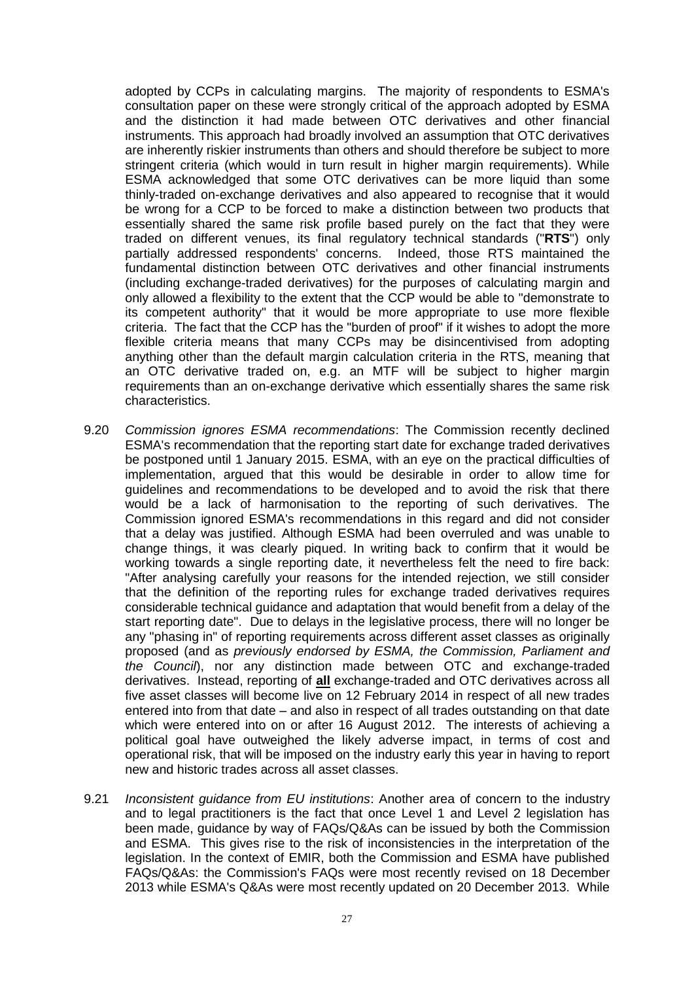adopted by CCPs in calculating margins. The majority of respondents to ESMA's consultation paper on these were strongly critical of the approach adopted by ESMA and the distinction it had made between OTC derivatives and other financial instruments. This approach had broadly involved an assumption that OTC derivatives are inherently riskier instruments than others and should therefore be subject to more stringent criteria (which would in turn result in higher margin requirements). While ESMA acknowledged that some OTC derivatives can be more liquid than some thinly-traded on-exchange derivatives and also appeared to recognise that it would be wrong for a CCP to be forced to make a distinction between two products that essentially shared the same risk profile based purely on the fact that they were traded on different venues, its final regulatory technical standards ("**RTS**") only partially addressed respondents' concerns. Indeed, those RTS maintained the fundamental distinction between OTC derivatives and other financial instruments (including exchange-traded derivatives) for the purposes of calculating margin and only allowed a flexibility to the extent that the CCP would be able to "demonstrate to its competent authority" that it would be more appropriate to use more flexible criteria. The fact that the CCP has the "burden of proof" if it wishes to adopt the more flexible criteria means that many CCPs may be disincentivised from adopting anything other than the default margin calculation criteria in the RTS, meaning that an OTC derivative traded on, e.g. an MTF will be subject to higher margin requirements than an on-exchange derivative which essentially shares the same risk characteristics.

- 9.20 *Commission ignores ESMA recommendations*: The Commission recently declined ESMA's recommendation that the reporting start date for exchange traded derivatives be postponed until 1 January 2015. ESMA, with an eye on the practical difficulties of implementation, argued that this would be desirable in order to allow time for guidelines and recommendations to be developed and to avoid the risk that there would be a lack of harmonisation to the reporting of such derivatives. The Commission ignored ESMA's recommendations in this regard and did not consider that a delay was justified. Although ESMA had been overruled and was unable to change things, it was clearly piqued. In writing back to confirm that it would be working towards a single reporting date, it nevertheless felt the need to fire back: "After analysing carefully your reasons for the intended rejection, we still consider that the definition of the reporting rules for exchange traded derivatives requires considerable technical guidance and adaptation that would benefit from a delay of the start reporting date". Due to delays in the legislative process, there will no longer be any "phasing in" of reporting requirements across different asset classes as originally proposed (and as *previously endorsed by ESMA, the Commission, Parliament and the Council*), nor any distinction made between OTC and exchange-traded derivatives. Instead, reporting of **all** exchange-traded and OTC derivatives across all five asset classes will become live on 12 February 2014 in respect of all new trades entered into from that date – and also in respect of all trades outstanding on that date which were entered into on or after 16 August 2012. The interests of achieving a political goal have outweighed the likely adverse impact, in terms of cost and operational risk, that will be imposed on the industry early this year in having to report new and historic trades across all asset classes.
- 9.21 *Inconsistent guidance from EU institutions*: Another area of concern to the industry and to legal practitioners is the fact that once Level 1 and Level 2 legislation has been made, guidance by way of FAQs/Q&As can be issued by both the Commission and ESMA. This gives rise to the risk of inconsistencies in the interpretation of the legislation. In the context of EMIR, both the Commission and ESMA have published FAQs/Q&As: the Commission's FAQs were most recently revised on 18 December 2013 while ESMA's Q&As were most recently updated on 20 December 2013. While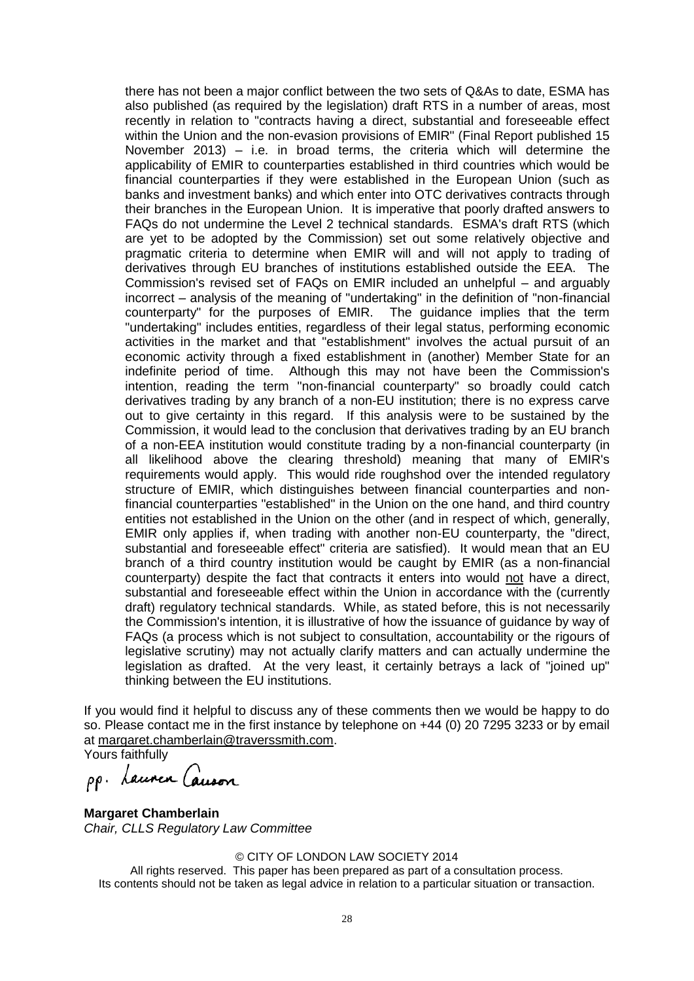there has not been a major conflict between the two sets of Q&As to date, ESMA has also published (as required by the legislation) draft RTS in a number of areas, most recently in relation to "contracts having a direct, substantial and foreseeable effect within the Union and the non-evasion provisions of EMIR" (Final Report published 15 November 2013) – i.e. in broad terms, the criteria which will determine the applicability of EMIR to counterparties established in third countries which would be financial counterparties if they were established in the European Union (such as banks and investment banks) and which enter into OTC derivatives contracts through their branches in the European Union. It is imperative that poorly drafted answers to FAQs do not undermine the Level 2 technical standards. ESMA's draft RTS (which are yet to be adopted by the Commission) set out some relatively objective and pragmatic criteria to determine when EMIR will and will not apply to trading of derivatives through EU branches of institutions established outside the EEA. The Commission's revised set of FAQs on EMIR included an unhelpful – and arguably incorrect – analysis of the meaning of "undertaking" in the definition of "non-financial counterparty" for the purposes of EMIR. The guidance implies that the term "undertaking" includes entities, regardless of their legal status, performing economic activities in the market and that "establishment" involves the actual pursuit of an economic activity through a fixed establishment in (another) Member State for an indefinite period of time. Although this may not have been the Commission's intention, reading the term "non-financial counterparty" so broadly could catch derivatives trading by any branch of a non-EU institution; there is no express carve out to give certainty in this regard. If this analysis were to be sustained by the Commission, it would lead to the conclusion that derivatives trading by an EU branch of a non-EEA institution would constitute trading by a non-financial counterparty (in all likelihood above the clearing threshold) meaning that many of EMIR's requirements would apply. This would ride roughshod over the intended regulatory structure of EMIR, which distinguishes between financial counterparties and nonfinancial counterparties "established" in the Union on the one hand, and third country entities not established in the Union on the other (and in respect of which, generally, EMIR only applies if, when trading with another non-EU counterparty, the "direct, substantial and foreseeable effect" criteria are satisfied). It would mean that an EU branch of a third country institution would be caught by EMIR (as a non-financial counterparty) despite the fact that contracts it enters into would not have a direct, substantial and foreseeable effect within the Union in accordance with the (currently draft) regulatory technical standards. While, as stated before, this is not necessarily the Commission's intention, it is illustrative of how the issuance of guidance by way of FAQs (a process which is not subject to consultation, accountability or the rigours of legislative scrutiny) may not actually clarify matters and can actually undermine the legislation as drafted. At the very least, it certainly betrays a lack of "joined up" thinking between the EU institutions.

If you would find it helpful to discuss any of these comments then we would be happy to do so. Please contact me in the first instance by telephone on +44 (0) 20 7295 3233 or by email at margaret.chamberlain@traverssmith.com.

Yours faithfully<br>pp. Launen Causon

**Margaret Chamberlain** *Chair, CLLS Regulatory Law Committee*

#### © CITY OF LONDON LAW SOCIETY 2014

All rights reserved. This paper has been prepared as part of a consultation process. Its contents should not be taken as legal advice in relation to a particular situation or transaction.